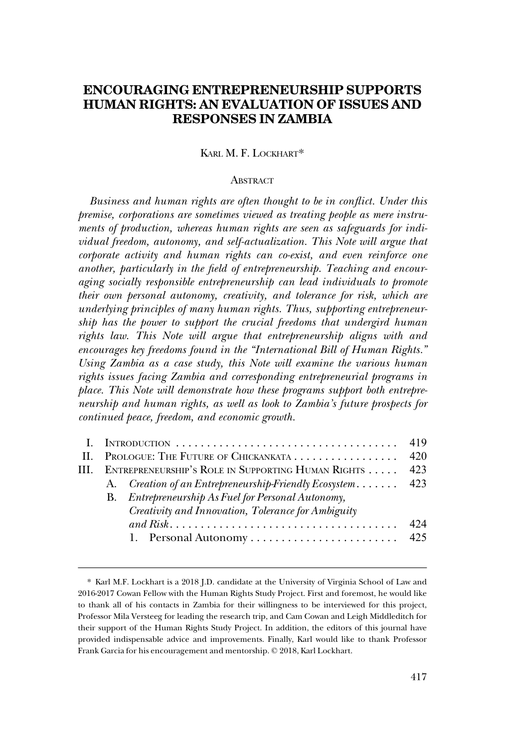# **ENCOURAGING ENTREPRENEURSHIP SUPPORTS HUMAN RIGHTS: AN EVALUATION OF ISSUES AND RESPONSES IN ZAMBIA**

KARL M. F. LOCKHART\*

#### **ABSTRACT**

*Business and human rights are often thought to be in conflict. Under this premise, corporations are sometimes viewed as treating people as mere instruments of production, whereas human rights are seen as safeguards for individual freedom, autonomy, and self-actualization. This Note will argue that corporate activity and human rights can co-exist, and even reinforce one another, particularly in the field of entrepreneurship. Teaching and encouraging socially responsible entrepreneurship can lead individuals to promote their own personal autonomy, creativity, and tolerance for risk, which are underlying principles of many human rights. Thus, supporting entrepreneurship has the power to support the crucial freedoms that undergird human rights law. This Note will argue that entrepreneurship aligns with and encourages key freedoms found in the "International Bill of Human Rights." Using Zambia as a case study, this Note will examine the various human rights issues facing Zambia and corresponding entrepreneurial programs in place. This Note will demonstrate how these programs support both entrepreneurship and human rights, as well as look to Zambia's future prospects for continued peace, freedom, and economic growth.* 

|                                                                |                                                       | 419 |
|----------------------------------------------------------------|-------------------------------------------------------|-----|
| II. PROLOGUE: THE FUTURE OF CHICKANKATA                        |                                                       | 420 |
| 423<br>III. ENTREPRENEURSHIP'S ROLE IN SUPPORTING HUMAN RIGHTS |                                                       |     |
|                                                                | A. Creation of an Entrepreneurship-Friendly Ecosystem | 423 |
|                                                                | B. Entrepreneurship As Fuel for Personal Autonomy,    |     |
|                                                                | Creativity and Innovation, Tolerance for Ambiguity    |     |
|                                                                |                                                       | 424 |
|                                                                |                                                       |     |
|                                                                |                                                       |     |

<sup>\*</sup> Karl M.F. Lockhart is a 2018 J.D. candidate at the University of Virginia School of Law and 2016-2017 Cowan Fellow with the Human Rights Study Project. First and foremost, he would like to thank all of his contacts in Zambia for their willingness to be interviewed for this project, Professor Mila Versteeg for leading the research trip, and Cam Cowan and Leigh Middleditch for their support of the Human Rights Study Project. In addition, the editors of this journal have provided indispensable advice and improvements. Finally, Karl would like to thank Professor Frank Garcia for his encouragement and mentorship. © 2018, Karl Lockhart.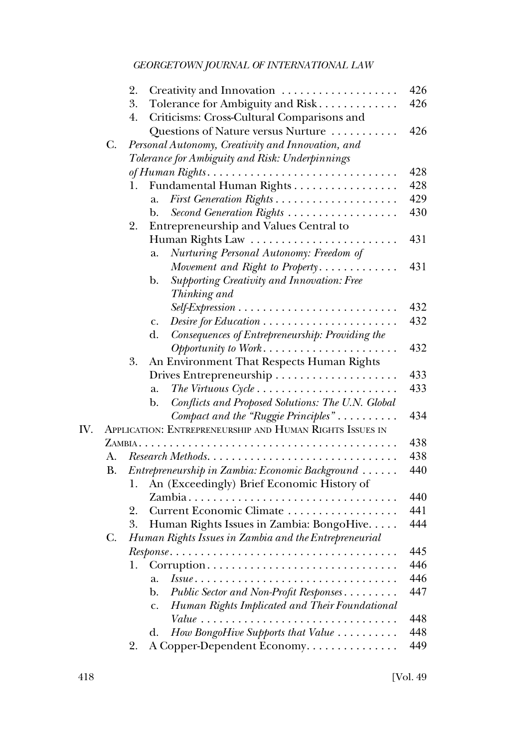|     |    | 2.<br>Creativity and Innovation                                                 | 426 |
|-----|----|---------------------------------------------------------------------------------|-----|
|     |    | 3.<br>Tolerance for Ambiguity and Risk                                          | 426 |
|     |    | Criticisms: Cross-Cultural Comparisons and<br>4.                                |     |
|     |    | Questions of Nature versus Nurture                                              | 426 |
|     | C. | Personal Autonomy, Creativity and Innovation, and                               |     |
|     |    | Tolerance for Ambiguity and Risk: Underpinnings                                 |     |
|     |    | of Human Rights                                                                 | 428 |
|     |    | Fundamental Human Rights<br>1.                                                  | 428 |
|     |    | a.                                                                              | 429 |
|     |    | Second Generation Rights<br>b.                                                  | 430 |
|     |    | 2.<br>Entrepreneurship and Values Central to                                    |     |
|     |    |                                                                                 | 431 |
|     |    | Nurturing Personal Autonomy: Freedom of<br>a.                                   |     |
|     |    | Movement and Right to Property                                                  | 431 |
|     |    | Supporting Creativity and Innovation: Free<br>$\mathbf{b}$ .                    |     |
|     |    | Thinking and                                                                    |     |
|     |    |                                                                                 | 432 |
|     |    | $Desire$ for Education $\ldots \ldots \ldots \ldots \ldots \ldots \ldots$<br>c. | 432 |
|     |    | Consequences of Entrepreneurship: Providing the<br>d.                           |     |
|     |    |                                                                                 | 432 |
|     |    | An Environment That Respects Human Rights<br>3.                                 |     |
|     |    |                                                                                 | 433 |
|     |    | The Virtuous $Cycle \ldots \ldots \ldots \ldots \ldots \ldots \ldots$<br>a.     | 433 |
|     |    | Conflicts and Proposed Solutions: The U.N. Global<br>$\mathbf{b}$ .             |     |
|     |    | Compact and the "Ruggie Principles"                                             | 434 |
| IV. |    | APPLICATION: ENTREPRENEURSHIP AND HUMAN RIGHTS ISSUES IN                        |     |
|     |    |                                                                                 | 438 |
|     | А. |                                                                                 | 438 |
|     | В. | Entrepreneurship in Zambia: Economic Background                                 | 440 |
|     |    | An (Exceedingly) Brief Economic History of<br>1.                                |     |
|     |    |                                                                                 | 440 |
|     |    | 2.<br>Current Economic Climate                                                  | 441 |
|     |    | Human Rights Issues in Zambia: BongoHive<br>3.                                  | 444 |
|     | C. | Human Rights Issues in Zambia and the Entrepreneurial                           |     |
|     |    |                                                                                 | 445 |
|     |    | 1.                                                                              | 446 |
|     |    | a.                                                                              | 446 |
|     |    | Public Sector and Non-Profit Responses<br>b.                                    | 447 |
|     |    | Human Rights Implicated and Their Foundational<br>c.                            |     |
|     |    | $Value \ldots \ldots \ldots \ldots \ldots$                                      | 448 |
|     |    | How BongoHive Supports that Value<br>d.                                         | 448 |
|     |    | A Copper-Dependent Economy.<br>2.                                               | 449 |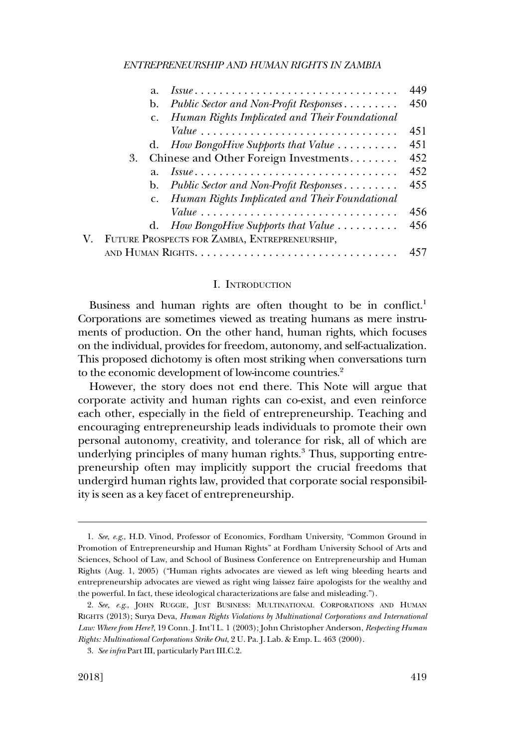<span id="page-2-0"></span>

| a.                                                     | 449 |  |
|--------------------------------------------------------|-----|--|
| Public Sector and Non-Profit Responses<br>b.           | 450 |  |
| c. Human Rights Implicated and Their Foundational      |     |  |
|                                                        | 451 |  |
| d. How BongoHive Supports that Value $\dots\dots\dots$ | 451 |  |
| Chinese and Other Foreign Investments<br>3.            | 452 |  |
| a.                                                     | 452 |  |
| Public Sector and Non-Profit Responses<br>b.           | 455 |  |
| c. Human Rights Implicated and Their Foundational      |     |  |
|                                                        | 456 |  |
| d. How BongoHive Supports that Value $\dots\dots\dots$ | 456 |  |
| V. FUTURE PROSPECTS FOR ZAMBIA, ENTREPRENEURSHIP,      |     |  |
|                                                        |     |  |

#### I. INTRODUCTION

Business and human rights are often thought to be in conflict.<sup>1</sup> Corporations are sometimes viewed as treating humans as mere instruments of production. On the other hand, human rights, which focuses on the individual, provides for freedom, autonomy, and self-actualization. This proposed dichotomy is often most striking when conversations turn to the economic development of low-income countries.<sup>2</sup>

However, the story does not end there. This Note will argue that corporate activity and human rights can co-exist, and even reinforce each other, especially in the field of entrepreneurship. Teaching and encouraging entrepreneurship leads individuals to promote their own personal autonomy, creativity, and tolerance for risk, all of which are underlying principles of many human rights.<sup>3</sup> Thus, supporting entrepreneurship often may implicitly support the crucial freedoms that undergird human rights law, provided that corporate social responsibility is seen as a key facet of entrepreneurship.

<sup>1.</sup> *See*, *e.g*., H.D. Vinod, Professor of Economics, Fordham University, "Common Ground in Promotion of Entrepreneurship and Human Rights" at Fordham University School of Arts and Sciences, School of Law, and School of Business Conference on Entrepreneurship and Human Rights (Aug. 1, 2005) ("Human rights advocates are viewed as left wing bleeding hearts and entrepreneurship advocates are viewed as right wing laissez faire apologists for the wealthy and the powerful. In fact, these ideological characterizations are false and misleading.").

<sup>2.</sup> *See, e.g*., JOHN RUGGIE, JUST BUSINESS: MULTINATIONAL CORPORATIONS AND HUMAN RIGHTS (2013); Surya Deva, *Human Rights Violations by Multinational Corporations and International Law: Where from Here?*, 19 Conn. J. Int'l L. 1 (2003); John Christopher Anderson, *Respecting Human Rights: Multinational Corporations Strike Out*, 2 U. Pa. J. Lab. & Emp. L. 463 (2000).

<sup>3.</sup> *See infra* Part III, particularly Part III.C.2.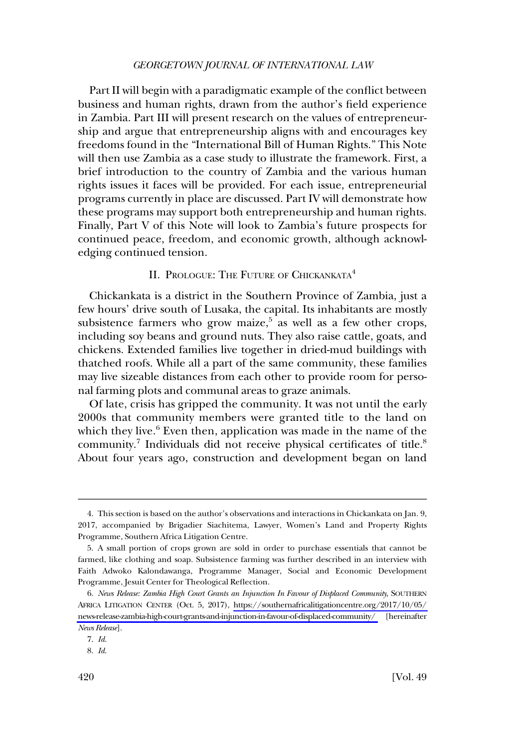<span id="page-3-0"></span>Part II will begin with a paradigmatic example of the conflict between business and human rights, drawn from the author's field experience in Zambia. Part III will present research on the values of entrepreneurship and argue that entrepreneurship aligns with and encourages key freedoms found in the "International Bill of Human Rights." This Note will then use Zambia as a case study to illustrate the framework. First, a brief introduction to the country of Zambia and the various human rights issues it faces will be provided. For each issue, entrepreneurial programs currently in place are discussed. Part IV will demonstrate how these programs may support both entrepreneurship and human rights. Finally, Part V of this Note will look to Zambia's future prospects for continued peace, freedom, and economic growth, although acknowledging continued tension.

# II. PROLOGUE: THE FUTURE OF CHICKANKATA<sup>4</sup>

Chickankata is a district in the Southern Province of Zambia, just a few hours' drive south of Lusaka, the capital. Its inhabitants are mostly subsistence farmers who grow maize,<sup>5</sup> as well as a few other crops, including soy beans and ground nuts. They also raise cattle, goats, and chickens. Extended families live together in dried-mud buildings with thatched roofs. While all a part of the same community, these families may live sizeable distances from each other to provide room for personal farming plots and communal areas to graze animals.

Of late, crisis has gripped the community. It was not until the early 2000s that community members were granted title to the land on which they live.<sup>6</sup> Even then, application was made in the name of the community.<sup>7</sup> Individuals did not receive physical certificates of title.<sup>8</sup> About four years ago, construction and development began on land

<sup>4.</sup> This section is based on the author's observations and interactions in Chickankata on Jan. 9, 2017, accompanied by Brigadier Siachitema, Lawyer, Women's Land and Property Rights Programme, Southern Africa Litigation Centre.

<sup>5.</sup> A small portion of crops grown are sold in order to purchase essentials that cannot be farmed, like clothing and soap. Subsistence farming was further described in an interview with Faith Adwoko Kalondawanga, Programme Manager, Social and Economic Development Programme, Jesuit Center for Theological Reflection.

*News Release: Zambia High Court Grants an Injunction In Favour of Displaced Community*, SOUTHERN 6. AFRICA LITIGATION CENTER (Oct. 5, 2017), [https://southernafricalitigationcentre.org/2017/10/05/](https://southernafricalitigationcentre.org/2017/10/05/news-release-zambia-high-court-grants-and-injunction-in-favour-of-displaced-community/)  [news-release-zambia-high-court-grants-and-injunction-in-favour-of-displaced-community/](https://southernafricalitigationcentre.org/2017/10/05/news-release-zambia-high-court-grants-and-injunction-in-favour-of-displaced-community/) [hereinafter *News Release*].

<sup>7.</sup> *Id*.

<sup>8.</sup> *Id*.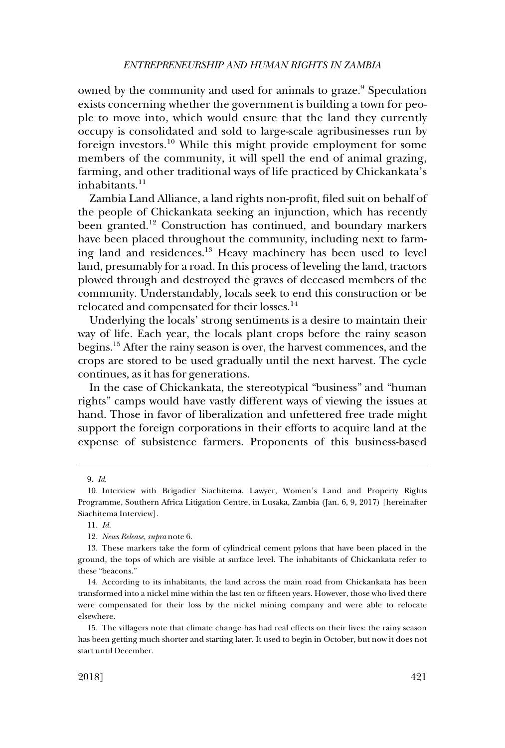owned by the community and used for animals to graze.<sup>9</sup> Speculation exists concerning whether the government is building a town for people to move into, which would ensure that the land they currently occupy is consolidated and sold to large-scale agribusinesses run by foreign investors.10 While this might provide employment for some members of the community, it will spell the end of animal grazing, farming, and other traditional ways of life practiced by Chickankata's inhabitants. $11$ 

Zambia Land Alliance, a land rights non-profit, filed suit on behalf of the people of Chickankata seeking an injunction, which has recently been granted.<sup>12</sup> Construction has continued, and boundary markers have been placed throughout the community, including next to farming land and residences.13 Heavy machinery has been used to level land, presumably for a road. In this process of leveling the land, tractors plowed through and destroyed the graves of deceased members of the community. Understandably, locals seek to end this construction or be relocated and compensated for their losses.<sup>14</sup>

Underlying the locals' strong sentiments is a desire to maintain their way of life. Each year, the locals plant crops before the rainy season begins.15 After the rainy season is over, the harvest commences, and the crops are stored to be used gradually until the next harvest. The cycle continues, as it has for generations.

In the case of Chickankata, the stereotypical "business" and "human rights" camps would have vastly different ways of viewing the issues at hand. Those in favor of liberalization and unfettered free trade might support the foreign corporations in their efforts to acquire land at the expense of subsistence farmers. Proponents of this business-based

<sup>9.</sup> *Id*.

<sup>10.</sup> Interview with Brigadier Siachitema, Lawyer, Women's Land and Property Rights Programme, Southern Africa Litigation Centre, in Lusaka, Zambia (Jan. 6, 9, 2017) [hereinafter Siachitema Interview].

<sup>11.</sup> *Id*.

<sup>12.</sup> *News Release*, *supra* note 6.

<sup>13.</sup> These markers take the form of cylindrical cement pylons that have been placed in the ground, the tops of which are visible at surface level. The inhabitants of Chickankata refer to these "beacons."

<sup>14.</sup> According to its inhabitants, the land across the main road from Chickankata has been transformed into a nickel mine within the last ten or fifteen years. However, those who lived there were compensated for their loss by the nickel mining company and were able to relocate elsewhere.

<sup>15.</sup> The villagers note that climate change has had real effects on their lives: the rainy season has been getting much shorter and starting later. It used to begin in October, but now it does not start until December.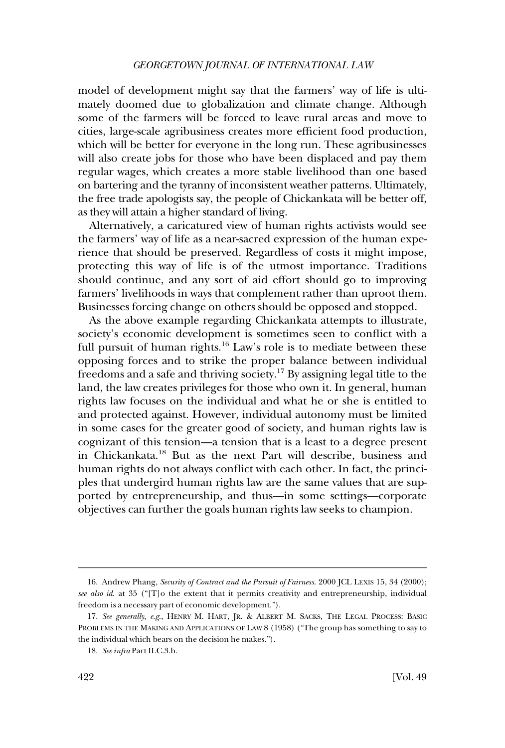model of development might say that the farmers' way of life is ultimately doomed due to globalization and climate change. Although some of the farmers will be forced to leave rural areas and move to cities, large-scale agribusiness creates more efficient food production, which will be better for everyone in the long run. These agribusinesses will also create jobs for those who have been displaced and pay them regular wages, which creates a more stable livelihood than one based on bartering and the tyranny of inconsistent weather patterns. Ultimately, the free trade apologists say, the people of Chickankata will be better off, as they will attain a higher standard of living.

Alternatively, a caricatured view of human rights activists would see the farmers' way of life as a near-sacred expression of the human experience that should be preserved. Regardless of costs it might impose, protecting this way of life is of the utmost importance. Traditions should continue, and any sort of aid effort should go to improving farmers' livelihoods in ways that complement rather than uproot them. Businesses forcing change on others should be opposed and stopped.

As the above example regarding Chickankata attempts to illustrate, society's economic development is sometimes seen to conflict with a full pursuit of human rights.<sup>16</sup> Law's role is to mediate between these opposing forces and to strike the proper balance between individual freedoms and a safe and thriving society.17 By assigning legal title to the land, the law creates privileges for those who own it. In general, human rights law focuses on the individual and what he or she is entitled to and protected against. However, individual autonomy must be limited in some cases for the greater good of society, and human rights law is cognizant of this tension—a tension that is a least to a degree present in Chickankata.18 But as the next Part will describe, business and human rights do not always conflict with each other. In fact, the principles that undergird human rights law are the same values that are supported by entrepreneurship, and thus—in some settings—corporate objectives can further the goals human rights law seeks to champion.

<sup>16.</sup> Andrew Phang, *Security of Contract and the Pursuit of Fairness*. 2000 JCL LEXIS 15, 34 (2000); *see also id*. at 35 ("[T]o the extent that it permits creativity and entrepreneurship, individual freedom is a necessary part of economic development.").

<sup>17.</sup> *See generally*, *e.g*., HENRY M. HART, JR. & ALBERT M. SACKS, THE LEGAL PROCESS: BASIC PROBLEMS IN THE MAKING AND APPLICATIONS OF LAW 8 (1958) ("The group has something to say to the individual which bears on the decision he makes.").

<sup>18.</sup> *See infra* Part II.C.3.b.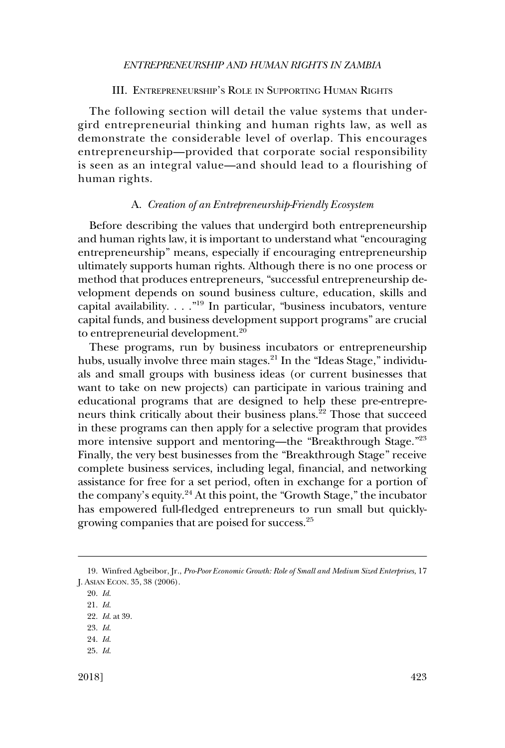#### *ENTREPRENEURSHIP AND HUMAN RIGHTS IN ZAMBIA*

# III. ENTREPRENEURSHIP'S ROLE IN SUPPORTING HUMAN RIGHTS

<span id="page-6-0"></span>The following section will detail the value systems that undergird entrepreneurial thinking and human rights law, as well as demonstrate the considerable level of overlap. This encourages entrepreneurship—provided that corporate social responsibility is seen as an integral value—and should lead to a flourishing of human rights.

#### A. *Creation of an Entrepreneurship-Friendly Ecosystem*

Before describing the values that undergird both entrepreneurship and human rights law, it is important to understand what "encouraging entrepreneurship" means, especially if encouraging entrepreneurship ultimately supports human rights. Although there is no one process or method that produces entrepreneurs, "successful entrepreneurship development depends on sound business culture, education, skills and capital availability. . . ."19 In particular, "business incubators, venture capital funds, and business development support programs" are crucial to entrepreneurial development.<sup>20</sup>

These programs, run by business incubators or entrepreneurship hubs, usually involve three main stages. $^{21}$  In the "Ideas Stage," individuals and small groups with business ideas (or current businesses that want to take on new projects) can participate in various training and educational programs that are designed to help these pre-entrepreneurs think critically about their business plans.<sup>22</sup> Those that succeed in these programs can then apply for a selective program that provides more intensive support and mentoring—the "Breakthrough Stage."<sup>23</sup> Finally, the very best businesses from the "Breakthrough Stage" receive complete business services, including legal, financial, and networking assistance for free for a set period, often in exchange for a portion of the company's equity.24 At this point, the "Growth Stage," the incubator has empowered full-fledged entrepreneurs to run small but quicklygrowing companies that are poised for success.25

<sup>19.</sup> Winfred Agbeibor, Jr., *Pro-Poor Economic Growth: Role of Small and Medium Sized Enterprises*, 17 J. ASIAN ECON. 35, 38 (2006).

<sup>20.</sup> *Id*.

<sup>21.</sup> *Id*.

<sup>22.</sup> *Id*. at 39.

<sup>23.</sup> *Id*.

<sup>24.</sup> *Id*.

<sup>25.</sup> *Id*.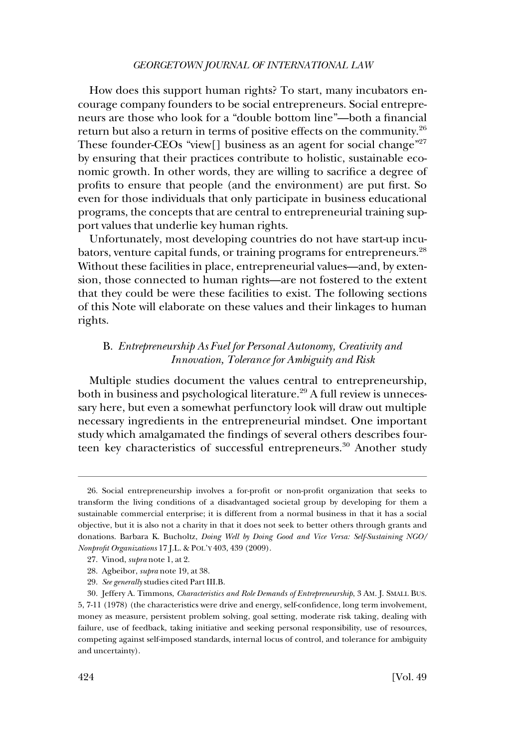<span id="page-7-0"></span>How does this support human rights? To start, many incubators encourage company founders to be social entrepreneurs. Social entrepreneurs are those who look for a "double bottom line"—both a financial return but also a return in terms of positive effects on the community.26 These founder-CEOs "view[] business as an agent for social change"<sup>27</sup> by ensuring that their practices contribute to holistic, sustainable economic growth. In other words, they are willing to sacrifice a degree of profits to ensure that people (and the environment) are put first. So even for those individuals that only participate in business educational programs, the concepts that are central to entrepreneurial training support values that underlie key human rights.

Unfortunately, most developing countries do not have start-up incubators, venture capital funds, or training programs for entrepreneurs.<sup>28</sup> Without these facilities in place, entrepreneurial values—and, by extension, those connected to human rights—are not fostered to the extent that they could be were these facilities to exist. The following sections of this Note will elaborate on these values and their linkages to human rights.

# B. *Entrepreneurship As Fuel for Personal Autonomy, Creativity and Innovation, Tolerance for Ambiguity and Risk*

Multiple studies document the values central to entrepreneurship, both in business and psychological literature.<sup>29</sup> A full review is unnecessary here, but even a somewhat perfunctory look will draw out multiple necessary ingredients in the entrepreneurial mindset. One important study which amalgamated the findings of several others describes fourteen key characteristics of successful entrepreneurs.<sup>30</sup> Another study

<sup>26.</sup> Social entrepreneurship involves a for-profit or non-profit organization that seeks to transform the living conditions of a disadvantaged societal group by developing for them a sustainable commercial enterprise; it is different from a normal business in that it has a social objective, but it is also not a charity in that it does not seek to better others through grants and donations. Barbara K. Bucholtz, *Doing Well by Doing Good and Vice Versa: Self-Sustaining NGO/ Nonprofit Organizations* 17 J.L. & POL'Y 403, 439 (2009).

<sup>27.</sup> Vinod, *supra* note 1, at 2.

<sup>28.</sup> Agbeibor, *supra* note 19, at 38.

<sup>29.</sup> *See generally* studies cited Part III.B.

<sup>30.</sup> Jeffery A. Timmons, *Characteristics and Role Demands of Entrepreneurship*, 3 AM. J. SMALL BUS. 5, 7-11 (1978) (the characteristics were drive and energy, self-confidence, long term involvement, money as measure, persistent problem solving, goal setting, moderate risk taking, dealing with failure, use of feedback, taking initiative and seeking personal responsibility, use of resources, competing against self-imposed standards, internal locus of control, and tolerance for ambiguity and uncertainty).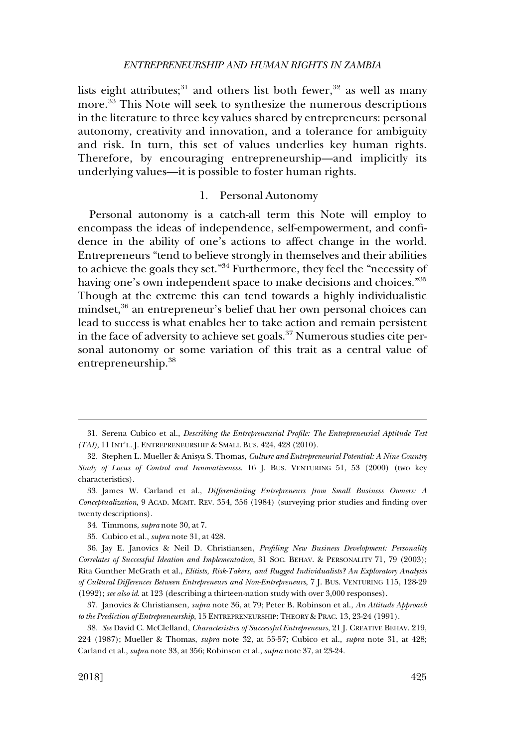<span id="page-8-0"></span>lists eight attributes;<sup>31</sup> and others list both fewer,<sup>32</sup> as well as many more.<sup>33</sup> This Note will seek to synthesize the numerous descriptions in the literature to three key values shared by entrepreneurs: personal autonomy, creativity and innovation, and a tolerance for ambiguity and risk. In turn, this set of values underlies key human rights. Therefore, by encouraging entrepreneurship—and implicitly its underlying values—it is possible to foster human rights.

# 1. Personal Autonomy

Personal autonomy is a catch-all term this Note will employ to encompass the ideas of independence, self-empowerment, and confidence in the ability of one's actions to affect change in the world. Entrepreneurs "tend to believe strongly in themselves and their abilities to achieve the goals they set."34 Furthermore, they feel the "necessity of having one's own independent space to make decisions and choices."<sup>35</sup> Though at the extreme this can tend towards a highly individualistic mindset,<sup>36</sup> an entrepreneur's belief that her own personal choices can lead to success is what enables her to take action and remain persistent in the face of adversity to achieve set goals.<sup>37</sup> Numerous studies cite personal autonomy or some variation of this trait as a central value of entrepreneurship.38

<sup>31.</sup> Serena Cubico et al., *Describing the Entrepreneurial Profile: The Entrepreneurial Aptitude Test (TAI)*, 11 INT'L. J. ENTREPRENEURSHIP & SMALL BUS. 424, 428 (2010).

<sup>32.</sup> Stephen L. Mueller & Anisya S. Thomas, *Culture and Entrepreneurial Potential: A Nine Country Study of Locus of Control and Innovativeness*. 16 J. BUS. VENTURING 51, 53 (2000) (two key characteristics).

<sup>33.</sup> James W. Carland et al., *Differentiating Entrepreneurs from Small Business Owners: A Conceptualization*, 9 ACAD. MGMT. REV. 354, 356 (1984) (surveying prior studies and finding over twenty descriptions).

<sup>34.</sup> Timmons, *supra* note 30, at 7.

<sup>35.</sup> Cubico et al., *supra* note 31, at 428.

<sup>36.</sup> Jay E. Janovics & Neil D. Christiansen, *Profiling New Business Development: Personality Correlates of Successful Ideation and Implementation*, 31 SOC. BEHAV. & PERSONALITY 71, 79 (2003); Rita Gunther McGrath et al., *Elitists, Risk-Takers, and Rugged Individualists? An Exploratory Analysis of Cultural Differences Between Entrepreneurs and Non-Entrepreneurs*, 7 J. BUS. VENTURING 115, 128-29 (1992); *see also id*. at 123 (describing a thirteen-nation study with over 3,000 responses).

<sup>37.</sup> Janovics & Christiansen, *supra* note 36, at 79; Peter B. Robinson et al., *An Attitude Approach to the Prediction of Entrepreneurship*, 15 ENTREPRENEURSHIP: THEORY & PRAC. 13, 23-24 (1991).

<sup>38.</sup> *See* David C. McClelland, *Characteristics of Successful Entrepreneurs*, 21 J. CREATIVE BEHAV. 219, 224 (1987); Mueller & Thomas, *supra* note 32, at 55-57; Cubico et al., *supra* note 31, at 428; Carland et al., *supra* note 33, at 356; Robinson et al., *supra* note 37, at 23-24.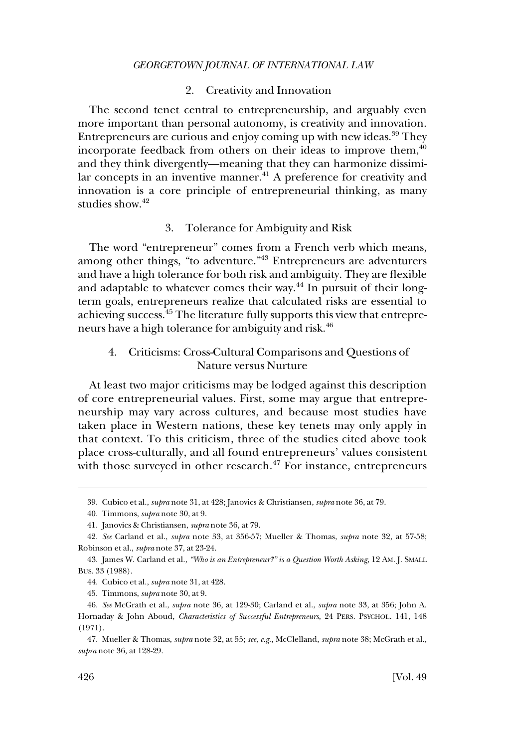#### 2. Creativity and Innovation

<span id="page-9-0"></span>The second tenet central to entrepreneurship, and arguably even more important than personal autonomy, is creativity and innovation. Entrepreneurs are curious and enjoy coming up with new ideas.39 They incorporate feedback from others on their ideas to improve them, $40$ and they think divergently—meaning that they can harmonize dissimilar concepts in an inventive manner.<sup>41</sup> A preference for creativity and innovation is a core principle of entrepreneurial thinking, as many studies show.<sup>42</sup>

# 3. Tolerance for Ambiguity and Risk

The word "entrepreneur" comes from a French verb which means, among other things, "to adventure."<sup>43</sup> Entrepreneurs are adventurers and have a high tolerance for both risk and ambiguity. They are flexible and adaptable to whatever comes their way.<sup>44</sup> In pursuit of their longterm goals, entrepreneurs realize that calculated risks are essential to achieving success.45 The literature fully supports this view that entrepreneurs have a high tolerance for ambiguity and risk.46

# 4. Criticisms: Cross-Cultural Comparisons and Questions of Nature versus Nurture

At least two major criticisms may be lodged against this description of core entrepreneurial values. First, some may argue that entrepreneurship may vary across cultures, and because most studies have taken place in Western nations, these key tenets may only apply in that context. To this criticism, three of the studies cited above took place cross-culturally, and all found entrepreneurs' values consistent with those surveyed in other research. $47$  For instance, entrepreneurs

<sup>39.</sup> Cubico et al., *supra* note 31, at 428; Janovics & Christiansen, *supra* note 36, at 79.

<sup>40.</sup> Timmons, *supra* note 30, at 9.

<sup>41.</sup> Janovics & Christiansen, *supra* note 36, at 79.

<sup>42.</sup> *See* Carland et al., *supra* note 33, at 356-57; Mueller & Thomas, *supra* note 32, at 57-58; Robinson et al., *supra* note 37, at 23-24.

<sup>43.</sup> James W. Carland et al., *"Who is an Entrepreneur?" is a Question Worth Asking*, 12 AM. J. SMALL BUS. 33 (1988).

<sup>44.</sup> Cubico et al., *supra* note 31, at 428.

<sup>45.</sup> Timmons, *supra* note 30, at 9.

<sup>46.</sup> *See* McGrath et al., *supra* note 36, at 129-30; Carland et al., *supra* note 33, at 356; John A. Hornaday & John Aboud, *Characteristics of Successful Entrepreneurs*, 24 PERS. PSYCHOL. 141, 148 (1971).

<sup>47.</sup> Mueller & Thomas, *supra* note 32, at 55; *see, e.g*., McClelland, *supra* note 38; McGrath et al., *supra* note 36, at 128-29.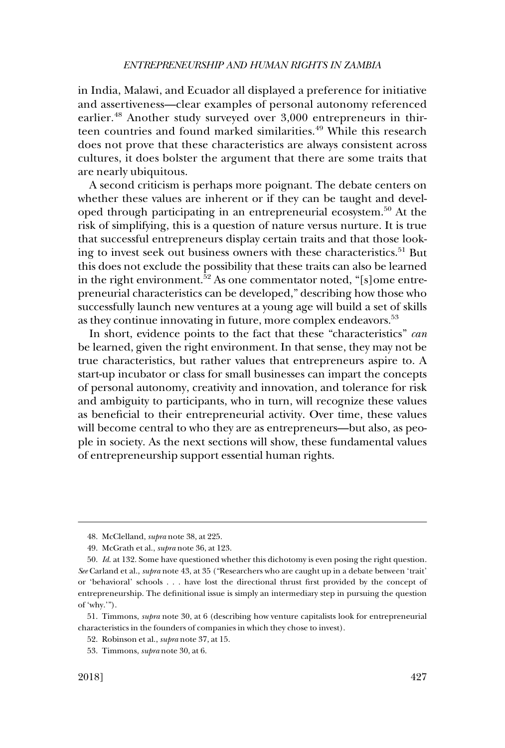in India, Malawi, and Ecuador all displayed a preference for initiative and assertiveness—clear examples of personal autonomy referenced earlier.<sup>48</sup> Another study surveyed over 3,000 entrepreneurs in thirteen countries and found marked similarities.<sup>49</sup> While this research does not prove that these characteristics are always consistent across cultures, it does bolster the argument that there are some traits that are nearly ubiquitous.

A second criticism is perhaps more poignant. The debate centers on whether these values are inherent or if they can be taught and developed through participating in an entrepreneurial ecosystem.50 At the risk of simplifying, this is a question of nature versus nurture. It is true that successful entrepreneurs display certain traits and that those looking to invest seek out business owners with these characteristics.<sup>51</sup> But this does not exclude the possibility that these traits can also be learned in the right environment.<sup>52</sup> As one commentator noted, "[s]ome entrepreneurial characteristics can be developed," describing how those who successfully launch new ventures at a young age will build a set of skills as they continue innovating in future, more complex endeavors.<sup>53</sup>

In short, evidence points to the fact that these "characteristics" *can*  be learned, given the right environment. In that sense, they may not be true characteristics, but rather values that entrepreneurs aspire to. A start-up incubator or class for small businesses can impart the concepts of personal autonomy, creativity and innovation, and tolerance for risk and ambiguity to participants, who in turn, will recognize these values as beneficial to their entrepreneurial activity. Over time, these values will become central to who they are as entrepreneurs—but also, as people in society. As the next sections will show, these fundamental values of entrepreneurship support essential human rights.

<sup>48.</sup> McClelland, *supra* note 38, at 225.

<sup>49.</sup> McGrath et al., *supra* note 36, at 123.

<sup>50.</sup> *Id*. at 132. Some have questioned whether this dichotomy is even posing the right question. *See* Carland et al., *supra* note 43, at 35 ("Researchers who are caught up in a debate between 'trait' or 'behavioral' schools . . . have lost the directional thrust first provided by the concept of entrepreneurship. The definitional issue is simply an intermediary step in pursuing the question of 'why.'").

<sup>51.</sup> Timmons, *supra* note 30, at 6 (describing how venture capitalists look for entrepreneurial characteristics in the founders of companies in which they chose to invest).

<sup>52.</sup> Robinson et al., *supra* note 37, at 15.

<sup>53.</sup> Timmons, *supra* note 30, at 6.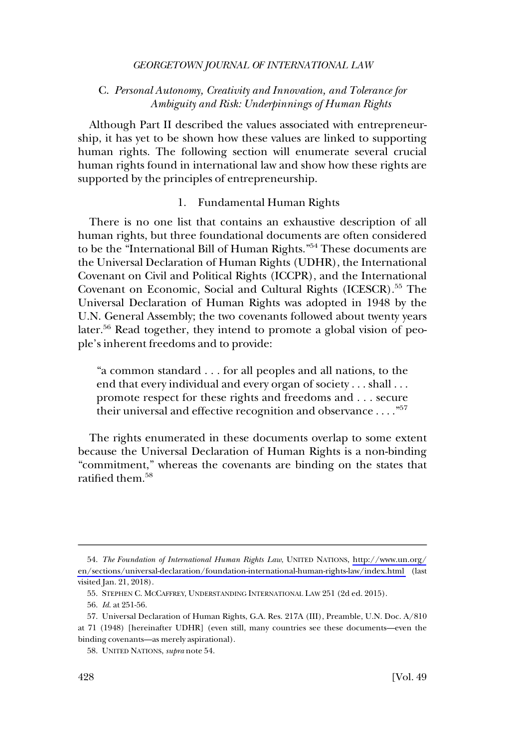# <span id="page-11-0"></span>C. *Personal Autonomy, Creativity and Innovation, and Tolerance for Ambiguity and Risk: Underpinnings of Human Rights*

Although Part II described the values associated with entrepreneurship, it has yet to be shown how these values are linked to supporting human rights. The following section will enumerate several crucial human rights found in international law and show how these rights are supported by the principles of entrepreneurship.

#### 1. Fundamental Human Rights

There is no one list that contains an exhaustive description of all human rights, but three foundational documents are often considered to be the "International Bill of Human Rights."<sup>54</sup> These documents are the Universal Declaration of Human Rights (UDHR), the International Covenant on Civil and Political Rights (ICCPR), and the International Covenant on Economic, Social and Cultural Rights (ICESCR).<sup>55</sup> The Universal Declaration of Human Rights was adopted in 1948 by the U.N. General Assembly; the two covenants followed about twenty years later.<sup>56</sup> Read together, they intend to promote a global vision of people's inherent freedoms and to provide:

"a common standard . . . for all peoples and all nations, to the end that every individual and every organ of society . . . shall . . . promote respect for these rights and freedoms and . . . secure their universal and effective recognition and observance  $\dots$ ."<sup>57</sup>

The rights enumerated in these documents overlap to some extent because the Universal Declaration of Human Rights is a non-binding "commitment," whereas the covenants are binding on the states that ratified them.<sup>58</sup>

*The Foundation of International Human Rights Law*, UNITED NATIONS, [http://www.un.org/](http://www.un.org/en/sections/universal-declaration/foundation-international-human-rights-law/index.html) 54. [en/sections/universal-declaration/foundation-international-human-rights-law/index.html](http://www.un.org/en/sections/universal-declaration/foundation-international-human-rights-law/index.html) (last visited Jan. 21, 2018).

<sup>55.</sup> STEPHEN C. MCCAFFREY, UNDERSTANDING INTERNATIONAL LAW 251 (2d ed. 2015).

<sup>56.</sup> *Id*. at 251-56.

<sup>57.</sup> Universal Declaration of Human Rights, G.A. Res. 217A (III), Preamble, U.N. Doc. A/810 at 71 (1948) [hereinafter UDHR] (even still, many countries see these documents—even the binding covenants—as merely aspirational).

<sup>58.</sup> UNITED NATIONS, *supra* note 54.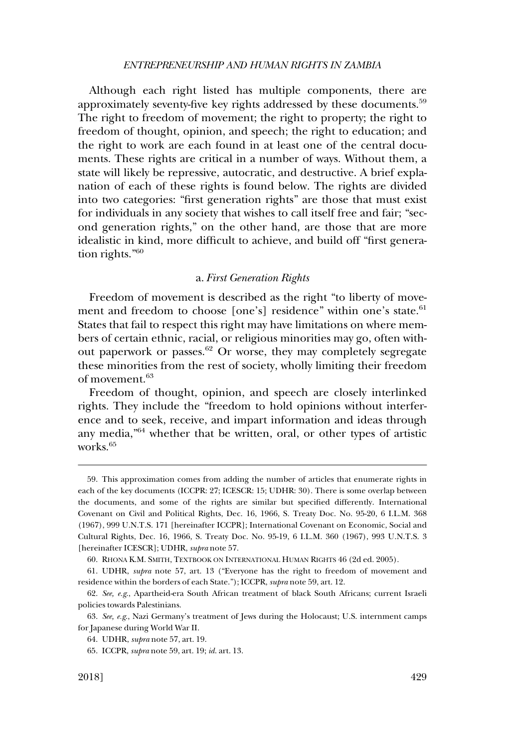<span id="page-12-0"></span>Although each right listed has multiple components, there are approximately seventy-five key rights addressed by these documents.<sup>59</sup> The right to freedom of movement; the right to property; the right to freedom of thought, opinion, and speech; the right to education; and the right to work are each found in at least one of the central documents. These rights are critical in a number of ways. Without them, a state will likely be repressive, autocratic, and destructive. A brief explanation of each of these rights is found below. The rights are divided into two categories: "first generation rights" are those that must exist for individuals in any society that wishes to call itself free and fair; "second generation rights," on the other hand, are those that are more idealistic in kind, more difficult to achieve, and build off "first generation rights."60

#### a. *First Generation Rights*

Freedom of movement is described as the right "to liberty of movement and freedom to choose [one's] residence" within one's state.<sup>61</sup> States that fail to respect this right may have limitations on where members of certain ethnic, racial, or religious minorities may go, often without paperwork or passes. $62$  Or worse, they may completely segregate these minorities from the rest of society, wholly limiting their freedom of movement.<sup>63</sup>

Freedom of thought, opinion, and speech are closely interlinked rights. They include the "freedom to hold opinions without interference and to seek, receive, and impart information and ideas through any media,"64 whether that be written, oral, or other types of artistic works<sup>65</sup>

<sup>59.</sup> This approximation comes from adding the number of articles that enumerate rights in each of the key documents (ICCPR: 27; ICESCR: 15; UDHR: 30). There is some overlap between the documents, and some of the rights are similar but specified differently. International Covenant on Civil and Political Rights, Dec. 16, 1966, S. Treaty Doc. No. 95-20, 6 I.L.M. 368 (1967), 999 U.N.T.S. 171 [hereinafter ICCPR]; International Covenant on Economic, Social and Cultural Rights, Dec. 16, 1966, S. Treaty Doc. No. 95-19, 6 I.L.M. 360 (1967), 993 U.N.T.S. 3 [hereinafter ICESCR]; UDHR, *supra* note 57.

<sup>60.</sup> RHONA K.M. SMITH, TEXTBOOK ON INTERNATIONAL HUMAN RIGHTS 46 (2d ed. 2005).

<sup>61.</sup> UDHR, *supra* note 57, art. 13 ("Everyone has the right to freedom of movement and residence within the borders of each State."); ICCPR, *supra* note 59, art. 12.

<sup>62.</sup> *See, e.g*., Apartheid-era South African treatment of black South Africans; current Israeli policies towards Palestinians.

<sup>63.</sup> *See, e.g*., Nazi Germany's treatment of Jews during the Holocaust; U.S. internment camps for Japanese during World War II.

<sup>64.</sup> UDHR, *supra* note 57, art. 19.

<sup>65.</sup> ICCPR, *supra* note 59, art. 19; *id*. art. 13.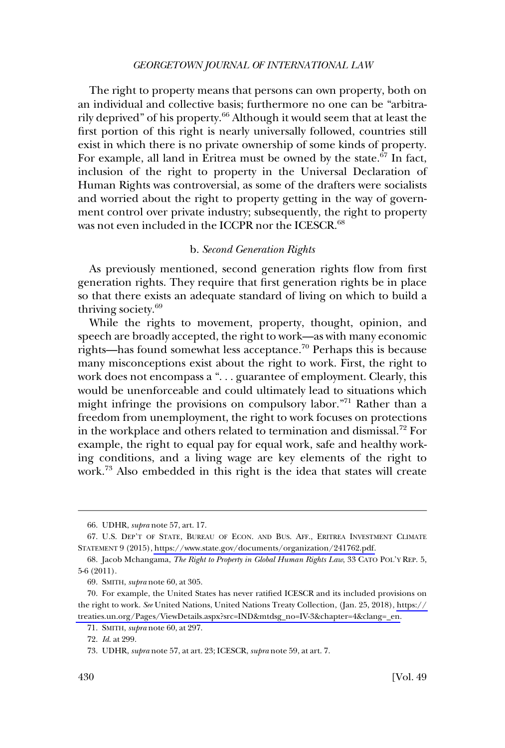<span id="page-13-0"></span>The right to property means that persons can own property, both on an individual and collective basis; furthermore no one can be "arbitrarily deprived" of his property.<sup>66</sup> Although it would seem that at least the first portion of this right is nearly universally followed, countries still exist in which there is no private ownership of some kinds of property. For example, all land in Eritrea must be owned by the state.<sup>67</sup> In fact, inclusion of the right to property in the Universal Declaration of Human Rights was controversial, as some of the drafters were socialists and worried about the right to property getting in the way of government control over private industry; subsequently, the right to property was not even included in the ICCPR nor the ICESCR.<sup>68</sup>

#### b. *Second Generation Rights*

As previously mentioned, second generation rights flow from first generation rights. They require that first generation rights be in place so that there exists an adequate standard of living on which to build a thriving society.<sup>69</sup>

While the rights to movement, property, thought, opinion, and speech are broadly accepted, the right to work—as with many economic rights—has found somewhat less acceptance.<sup>70</sup> Perhaps this is because many misconceptions exist about the right to work. First, the right to work does not encompass a ". . . guarantee of employment. Clearly, this would be unenforceable and could ultimately lead to situations which might infringe the provisions on compulsory labor."71 Rather than a freedom from unemployment, the right to work focuses on protections in the workplace and others related to termination and dismissal.72 For example, the right to equal pay for equal work, safe and healthy working conditions, and a living wage are key elements of the right to work.73 Also embedded in this right is the idea that states will create

<sup>66.</sup> UDHR, *supra* note 57, art. 17.

<sup>67.</sup> U.S. DEP'T OF STATE, BUREAU OF ECON. AND BUS. AFF., ERITREA INVESTMENT CLIMATE STATEMENT 9 (2015), [https://www.state.gov/documents/organization/241762.pdf.](https://www.state.gov/documents/organization/241762.pdf)

<sup>68.</sup> Jacob Mchangama, *The Right to Property in Global Human Rights Law*, 33 CATO POL'Y REP. 5, 5-6 (2011).

<sup>69.</sup> SMITH, *supra* note 60, at 305.

For example, the United States has never ratified ICESCR and its included provisions on 70. the right to work. *See* United Nations, United Nations Treaty Collection, (Jan. 25, 2018), [https://](https://treaties.un.org/Pages/ViewDetails.aspx?src=IND&mtdsg_no=IV-3&chapter=4&clang=_en)  [treaties.un.org/Pages/ViewDetails.aspx?src=IND&mtdsg\\_no=IV-3&chapter=4&clang=\\_en](https://treaties.un.org/Pages/ViewDetails.aspx?src=IND&mtdsg_no=IV-3&chapter=4&clang=_en).

<sup>71.</sup> SMITH, *supra* note 60, at 297.

<sup>72.</sup> *Id*. at 299.

<sup>73.</sup> UDHR, *supra* note 57, at art. 23; ICESCR, *supra* note 59, at art. 7.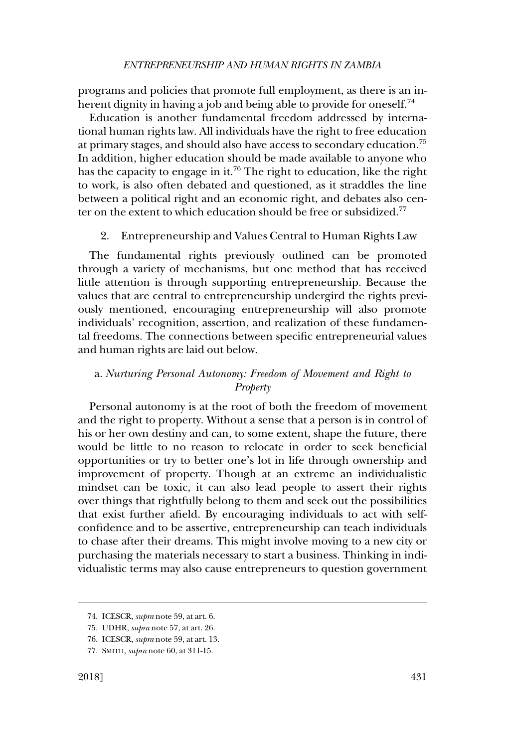<span id="page-14-0"></span>programs and policies that promote full employment, as there is an inherent dignity in having a job and being able to provide for oneself.<sup>74</sup>

Education is another fundamental freedom addressed by international human rights law. All individuals have the right to free education at primary stages, and should also have access to secondary education.75 In addition, higher education should be made available to anyone who has the capacity to engage in it.<sup>76</sup> The right to education, like the right to work, is also often debated and questioned, as it straddles the line between a political right and an economic right, and debates also center on the extent to which education should be free or subsidized.<sup>77</sup>

# 2. Entrepreneurship and Values Central to Human Rights Law

The fundamental rights previously outlined can be promoted through a variety of mechanisms, but one method that has received little attention is through supporting entrepreneurship. Because the values that are central to entrepreneurship undergird the rights previously mentioned, encouraging entrepreneurship will also promote individuals' recognition, assertion, and realization of these fundamental freedoms. The connections between specific entrepreneurial values and human rights are laid out below.

# a. *Nurturing Personal Autonomy: Freedom of Movement and Right to Property*

Personal autonomy is at the root of both the freedom of movement and the right to property. Without a sense that a person is in control of his or her own destiny and can, to some extent, shape the future, there would be little to no reason to relocate in order to seek beneficial opportunities or try to better one's lot in life through ownership and improvement of property. Though at an extreme an individualistic mindset can be toxic, it can also lead people to assert their rights over things that rightfully belong to them and seek out the possibilities that exist further afield. By encouraging individuals to act with selfconfidence and to be assertive, entrepreneurship can teach individuals to chase after their dreams. This might involve moving to a new city or purchasing the materials necessary to start a business. Thinking in individualistic terms may also cause entrepreneurs to question government

<sup>74.</sup> ICESCR, *supra* note 59, at art. 6.

<sup>75.</sup> UDHR, *supra* note 57, at art. 26.

<sup>76.</sup> ICESCR, *supra* note 59, at art. 13.

<sup>77.</sup> SMITH, *supra* note 60, at 311-15.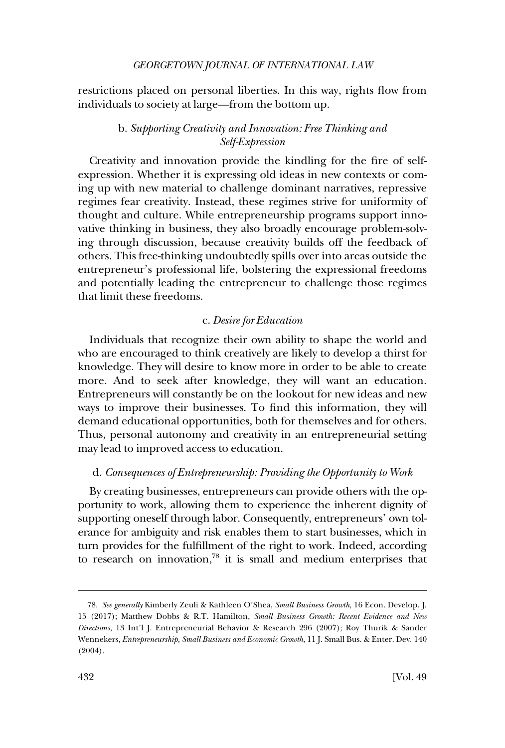<span id="page-15-0"></span>restrictions placed on personal liberties. In this way, rights flow from individuals to society at large—from the bottom up.

# b. *Supporting Creativity and Innovation: Free Thinking and Self-Expression*

Creativity and innovation provide the kindling for the fire of selfexpression. Whether it is expressing old ideas in new contexts or coming up with new material to challenge dominant narratives, repressive regimes fear creativity. Instead, these regimes strive for uniformity of thought and culture. While entrepreneurship programs support innovative thinking in business, they also broadly encourage problem-solving through discussion, because creativity builds off the feedback of others. This free-thinking undoubtedly spills over into areas outside the entrepreneur's professional life, bolstering the expressional freedoms and potentially leading the entrepreneur to challenge those regimes that limit these freedoms.

# c. *Desire for Education*

Individuals that recognize their own ability to shape the world and who are encouraged to think creatively are likely to develop a thirst for knowledge. They will desire to know more in order to be able to create more. And to seek after knowledge, they will want an education. Entrepreneurs will constantly be on the lookout for new ideas and new ways to improve their businesses. To find this information, they will demand educational opportunities, both for themselves and for others. Thus, personal autonomy and creativity in an entrepreneurial setting may lead to improved access to education.

# d. *Consequences of Entrepreneurship: Providing the Opportunity to Work*

By creating businesses, entrepreneurs can provide others with the opportunity to work, allowing them to experience the inherent dignity of supporting oneself through labor. Consequently, entrepreneurs' own tolerance for ambiguity and risk enables them to start businesses, which in turn provides for the fulfillment of the right to work. Indeed, according to research on innovation,<sup>78</sup> it is small and medium enterprises that

<sup>78.</sup> *See generally* Kimberly Zeuli & Kathleen O'Shea, *Small Business Growth*, 16 Econ. Develop. J. 15 (2017); Matthew Dobbs & R.T. Hamilton, *Small Business Growth: Recent Evidence and New Directions*, 13 Int'l J. Entrepreneurial Behavior & Research 296 (2007); Roy Thurik & Sander Wennekers, *Entrepreneurship, Small Business and Economic Growth*, 11 J. Small Bus. & Enter. Dev. 140 (2004).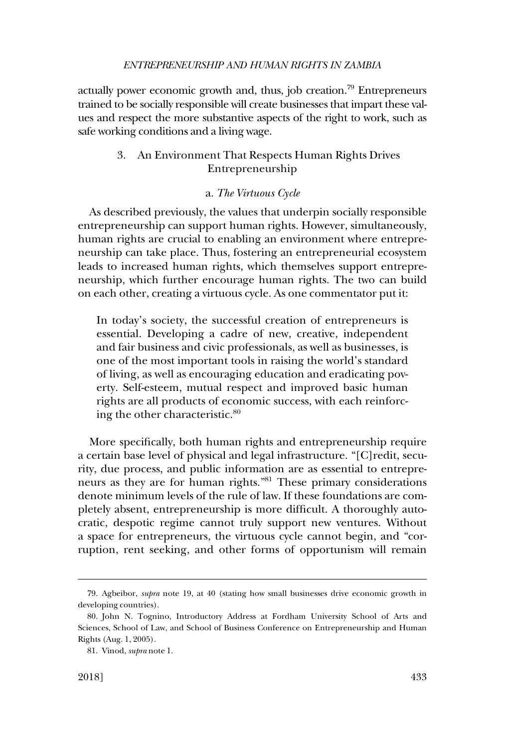#### *ENTREPRENEURSHIP AND HUMAN RIGHTS IN ZAMBIA*

<span id="page-16-0"></span>actually power economic growth and, thus, job creation.<sup>79</sup> Entrepreneurs trained to be socially responsible will create businesses that impart these values and respect the more substantive aspects of the right to work, such as safe working conditions and a living wage.

# 3. An Environment That Respects Human Rights Drives Entrepreneurship

### a. *The Virtuous Cycle*

As described previously, the values that underpin socially responsible entrepreneurship can support human rights. However, simultaneously, human rights are crucial to enabling an environment where entrepreneurship can take place. Thus, fostering an entrepreneurial ecosystem leads to increased human rights, which themselves support entrepreneurship, which further encourage human rights. The two can build on each other, creating a virtuous cycle. As one commentator put it:

In today's society, the successful creation of entrepreneurs is essential. Developing a cadre of new, creative, independent and fair business and civic professionals, as well as businesses, is one of the most important tools in raising the world's standard of living, as well as encouraging education and eradicating poverty. Self-esteem, mutual respect and improved basic human rights are all products of economic success, with each reinforcing the other characteristic.<sup>80</sup>

More specifically, both human rights and entrepreneurship require a certain base level of physical and legal infrastructure. "[C]redit, security, due process, and public information are as essential to entrepreneurs as they are for human rights."81 These primary considerations denote minimum levels of the rule of law. If these foundations are completely absent, entrepreneurship is more difficult. A thoroughly autocratic, despotic regime cannot truly support new ventures. Without a space for entrepreneurs, the virtuous cycle cannot begin, and "corruption, rent seeking, and other forms of opportunism will remain

<sup>79.</sup> Agbeibor, *supra* note 19, at 40 (stating how small businesses drive economic growth in developing countries).

<sup>80.</sup> John N. Tognino, Introductory Address at Fordham University School of Arts and Sciences, School of Law, and School of Business Conference on Entrepreneurship and Human Rights (Aug. 1, 2005).

<sup>81.</sup> Vinod, *supra* note 1.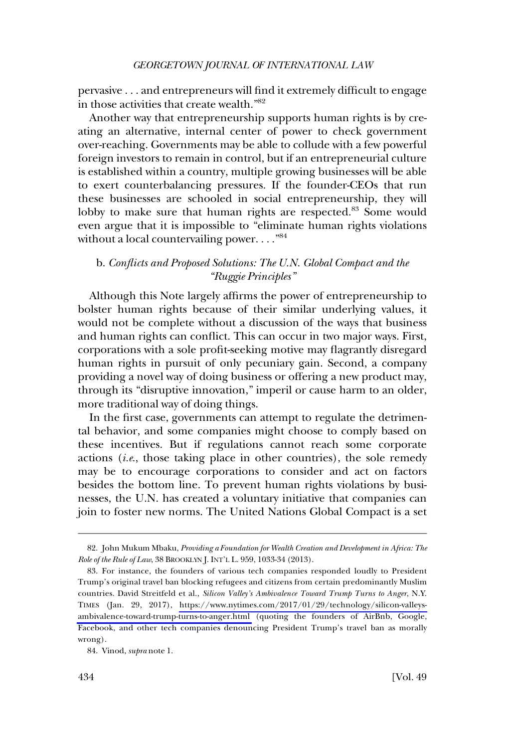<span id="page-17-0"></span>pervasive . . . and entrepreneurs will find it extremely difficult to engage in those activities that create wealth."82

Another way that entrepreneurship supports human rights is by creating an alternative, internal center of power to check government over-reaching. Governments may be able to collude with a few powerful foreign investors to remain in control, but if an entrepreneurial culture is established within a country, multiple growing businesses will be able to exert counterbalancing pressures. If the founder-CEOs that run these businesses are schooled in social entrepreneurship, they will lobby to make sure that human rights are respected.<sup>83</sup> Some would even argue that it is impossible to "eliminate human rights violations without a local countervailing power...."<sup>84</sup>

# b. *Conflicts and Proposed Solutions: The U.N. Global Compact and the "Ruggie Principles"*

Although this Note largely affirms the power of entrepreneurship to bolster human rights because of their similar underlying values, it would not be complete without a discussion of the ways that business and human rights can conflict. This can occur in two major ways. First, corporations with a sole profit-seeking motive may flagrantly disregard human rights in pursuit of only pecuniary gain. Second, a company providing a novel way of doing business or offering a new product may, through its "disruptive innovation," imperil or cause harm to an older, more traditional way of doing things.

In the first case, governments can attempt to regulate the detrimental behavior, and some companies might choose to comply based on these incentives. But if regulations cannot reach some corporate actions (*i.e*., those taking place in other countries), the sole remedy may be to encourage corporations to consider and act on factors besides the bottom line. To prevent human rights violations by businesses, the U.N. has created a voluntary initiative that companies can join to foster new norms. The United Nations Global Compact is a set

<sup>82.</sup> John Mukum Mbaku, *Providing a Foundation for Wealth Creation and Development in Africa: The Role of the Rule of Law*, 38 BROOKLYN J. INT'L L. 959, 1033-34 (2013).

<sup>83.</sup> For instance, the founders of various tech companies responded loudly to President Trump's original travel ban blocking refugees and citizens from certain predominantly Muslim countries. David Streitfeld et al., *Silicon Valley's Ambivalence Toward Trump Turns to Anger*, N.Y. TIMES (Jan. 29, 2017), [https://www.nytimes.com/2017/01/29/technology/silicon-valleys](https://www.nytimes.com/2017/01/29/technology/silicon-valleys-ambivalence-toward-trump-turns-to-anger.html)[ambivalence-toward-trump-turns-to-anger.html](https://www.nytimes.com/2017/01/29/technology/silicon-valleys-ambivalence-toward-trump-turns-to-anger.html) (quoting the founders of AirBnb, Google, Facebook, and other tech companies denouncing President Trump's travel ban as morally wrong).

<sup>84.</sup> Vinod, *supra* note 1.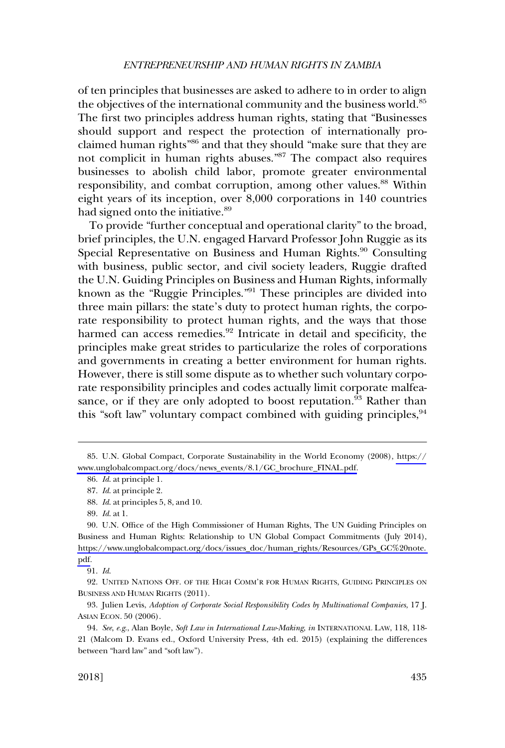of ten principles that businesses are asked to adhere to in order to align the objectives of the international community and the business world.<sup>85</sup> The first two principles address human rights, stating that "Businesses should support and respect the protection of internationally proclaimed human rights"86 and that they should "make sure that they are not complicit in human rights abuses."87 The compact also requires businesses to abolish child labor, promote greater environmental responsibility, and combat corruption, among other values.<sup>88</sup> Within eight years of its inception, over 8,000 corporations in 140 countries had signed onto the initiative.<sup>89</sup>

To provide "further conceptual and operational clarity" to the broad, brief principles, the U.N. engaged Harvard Professor John Ruggie as its Special Representative on Business and Human Rights.<sup>90</sup> Consulting with business, public sector, and civil society leaders, Ruggie drafted the U.N. Guiding Principles on Business and Human Rights, informally known as the "Ruggie Principles."91 These principles are divided into three main pillars: the state's duty to protect human rights, the corporate responsibility to protect human rights, and the ways that those harmed can access remedies. $92$  Intricate in detail and specificity, the principles make great strides to particularize the roles of corporations and governments in creating a better environment for human rights. However, there is still some dispute as to whether such voluntary corporate responsibility principles and codes actually limit corporate malfeasance, or if they are only adopted to boost reputation.<sup>93</sup> Rather than this "soft law" voluntary compact combined with guiding principles,  $94$ 

U.N. Global Compact, Corporate Sustainability in the World Economy (2008), [https://](https://www.unglobalcompact.org/docs/news_events/8.1/GC_brochure_FINAL.pdf) 85. [www.unglobalcompact.org/docs/news\\_events/8.1/GC\\_brochure\\_FINAL.pdf.](https://www.unglobalcompact.org/docs/news_events/8.1/GC_brochure_FINAL.pdf)

<sup>86.</sup> *Id*. at principle 1.

<sup>87.</sup> *Id*. at principle 2.

<sup>88.</sup> *Id*. at principles 5, 8, and 10.

<sup>89.</sup> *Id*. at 1.

U.N. Office of the High Commissioner of Human Rights, The UN Guiding Principles on 90. Business and Human Rights: Relationship to UN Global Compact Commitments (July 2014), [https://www.unglobalcompact.org/docs/issues\\_doc/human\\_rights/Resources/GPs\\_GC%20note.](https://www.unglobalcompact.org/docs/issues_doc/human_rights/Resources/GPs_GC%20note.pdf)  [pdf.](https://www.unglobalcompact.org/docs/issues_doc/human_rights/Resources/GPs_GC%20note.pdf)

<sup>91.</sup> *Id*.

<sup>92.</sup> UNITED NATIONS OFF. OF THE HIGH COMM'R FOR HUMAN RIGHTS, GUIDING PRINCIPLES ON BUSINESS AND HUMAN RIGHTS (2011).

<sup>93.</sup> Julien Levis, *Adoption of Corporate Social Responsibility Codes by Multinational Companies*, 17 J. ASIAN ECON. 50 (2006).

<sup>94.</sup> *See*, *e.g*., Alan Boyle, *Soft Law in International Law-Making*, *in* INTERNATIONAL LAW, 118, 118- 21 (Malcom D. Evans ed., Oxford University Press, 4th ed. 2015) (explaining the differences between "hard law" and "soft law").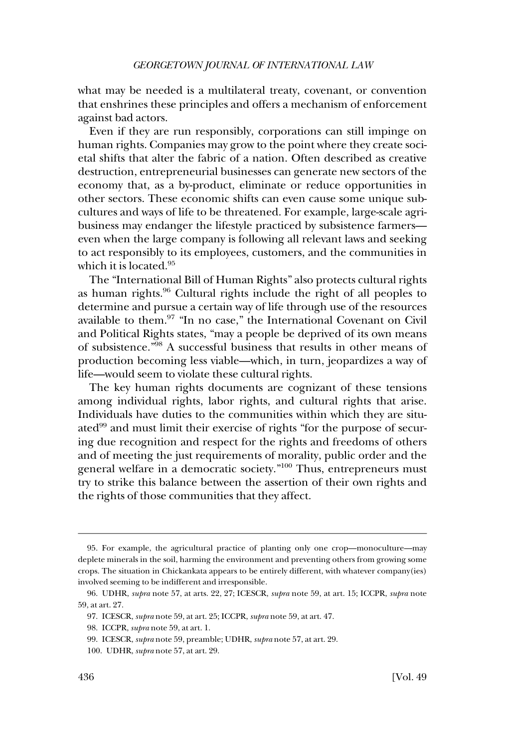what may be needed is a multilateral treaty, covenant, or convention that enshrines these principles and offers a mechanism of enforcement against bad actors.

Even if they are run responsibly, corporations can still impinge on human rights. Companies may grow to the point where they create societal shifts that alter the fabric of a nation. Often described as creative destruction, entrepreneurial businesses can generate new sectors of the economy that, as a by-product, eliminate or reduce opportunities in other sectors. These economic shifts can even cause some unique subcultures and ways of life to be threatened. For example, large-scale agribusiness may endanger the lifestyle practiced by subsistence farmers even when the large company is following all relevant laws and seeking to act responsibly to its employees, customers, and the communities in which it is located.<sup>95</sup>

The "International Bill of Human Rights" also protects cultural rights as human rights.96 Cultural rights include the right of all peoples to determine and pursue a certain way of life through use of the resources available to them.97 "In no case," the International Covenant on Civil and Political Rights states, "may a people be deprived of its own means of subsistence."98 A successful business that results in other means of production becoming less viable—which, in turn, jeopardizes a way of life—would seem to violate these cultural rights.

The key human rights documents are cognizant of these tensions among individual rights, labor rights, and cultural rights that arise. Individuals have duties to the communities within which they are situated<sup>99</sup> and must limit their exercise of rights "for the purpose of securing due recognition and respect for the rights and freedoms of others and of meeting the just requirements of morality, public order and the general welfare in a democratic society."100 Thus, entrepreneurs must try to strike this balance between the assertion of their own rights and the rights of those communities that they affect.

<sup>95.</sup> For example, the agricultural practice of planting only one crop—monoculture—may deplete minerals in the soil, harming the environment and preventing others from growing some crops. The situation in Chickankata appears to be entirely different, with whatever company(ies) involved seeming to be indifferent and irresponsible.

<sup>96.</sup> UDHR, *supra* note 57, at arts. 22, 27; ICESCR, *supra* note 59, at art. 15; ICCPR, *supra* note 59, at art. 27.

<sup>97.</sup> ICESCR, *supra* note 59, at art. 25; ICCPR, *supra* note 59, at art. 47.

<sup>98.</sup> ICCPR, *supra* note 59, at art. 1.

<sup>99.</sup> ICESCR, *supra* note 59, preamble; UDHR, *supra* note 57, at art. 29.

<sup>100.</sup> UDHR, *supra* note 57, at art. 29.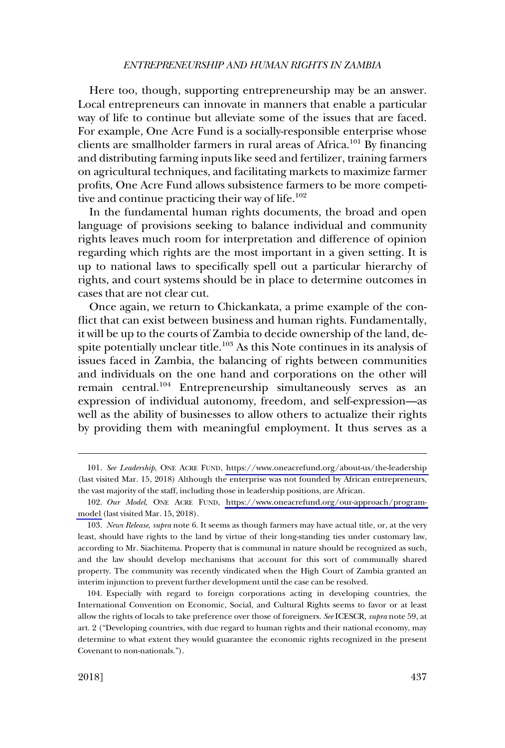#### *ENTREPRENEURSHIP AND HUMAN RIGHTS IN ZAMBIA*

Here too, though, supporting entrepreneurship may be an answer. Local entrepreneurs can innovate in manners that enable a particular way of life to continue but alleviate some of the issues that are faced. For example, One Acre Fund is a socially-responsible enterprise whose clients are smallholder farmers in rural areas of Africa.<sup>101</sup> By financing and distributing farming inputs like seed and fertilizer, training farmers on agricultural techniques, and facilitating markets to maximize farmer profits, One Acre Fund allows subsistence farmers to be more competitive and continue practicing their way of life. $102$ 

In the fundamental human rights documents, the broad and open language of provisions seeking to balance individual and community rights leaves much room for interpretation and difference of opinion regarding which rights are the most important in a given setting. It is up to national laws to specifically spell out a particular hierarchy of rights, and court systems should be in place to determine outcomes in cases that are not clear cut.

Once again, we return to Chickankata, a prime example of the conflict that can exist between business and human rights. Fundamentally, it will be up to the courts of Zambia to decide ownership of the land, despite potentially unclear title.<sup>103</sup> As this Note continues in its analysis of issues faced in Zambia, the balancing of rights between communities and individuals on the one hand and corporations on the other will remain central.<sup>104</sup> Entrepreneurship simultaneously serves as an expression of individual autonomy, freedom, and self-expression—as well as the ability of businesses to allow others to actualize their rights by providing them with meaningful employment. It thus serves as a

*See Leadership*, ONE ACRE FUND, <https://www.oneacrefund.org/about-us/the-leadership> 101. (last visited Mar. 15, 2018) Although the enterprise was not founded by African entrepreneurs, the vast majority of the staff, including those in leadership positions, are African.

*Our Model*, ONE ACRE FUND, [https://www.oneacrefund.org/our-approach/program-](https://www.oneacrefund.org/our-approach/program-model)102. [model](https://www.oneacrefund.org/our-approach/program-model) (last visited Mar. 15, 2018).

<sup>103.</sup> *News Release*, *supra* note 6. It seems as though farmers may have actual title, or, at the very least, should have rights to the land by virtue of their long-standing ties under customary law, according to Mr. Siachitema. Property that is communal in nature should be recognized as such, and the law should develop mechanisms that account for this sort of communally shared property. The community was recently vindicated when the High Court of Zambia granted an interim injunction to prevent further development until the case can be resolved.

<sup>104.</sup> Especially with regard to foreign corporations acting in developing countries, the International Convention on Economic, Social, and Cultural Rights seems to favor or at least allow the rights of locals to take preference over those of foreigners. *See* ICESCR, *supra* note 59, at art. 2 ("Developing countries, with due regard to human rights and their national economy, may determine to what extent they would guarantee the economic rights recognized in the present Covenant to non-nationals.").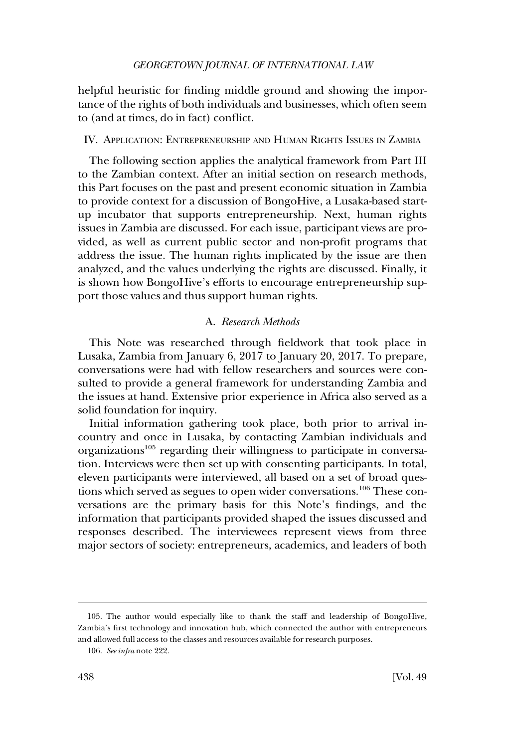<span id="page-21-0"></span>helpful heuristic for finding middle ground and showing the importance of the rights of both individuals and businesses, which often seem to (and at times, do in fact) conflict.

#### IV. APPLICATION: ENTREPRENEURSHIP AND HUMAN RIGHTS ISSUES IN ZAMBIA

The following section applies the analytical framework from Part III to the Zambian context. After an initial section on research methods, this Part focuses on the past and present economic situation in Zambia to provide context for a discussion of BongoHive, a Lusaka-based startup incubator that supports entrepreneurship. Next, human rights issues in Zambia are discussed. For each issue, participant views are provided, as well as current public sector and non-profit programs that address the issue. The human rights implicated by the issue are then analyzed, and the values underlying the rights are discussed. Finally, it is shown how BongoHive's efforts to encourage entrepreneurship support those values and thus support human rights.

#### A. *Research Methods*

This Note was researched through fieldwork that took place in Lusaka, Zambia from January 6, 2017 to January 20, 2017. To prepare, conversations were had with fellow researchers and sources were consulted to provide a general framework for understanding Zambia and the issues at hand. Extensive prior experience in Africa also served as a solid foundation for inquiry.

Initial information gathering took place, both prior to arrival incountry and once in Lusaka, by contacting Zambian individuals and organizations<sup>105</sup> regarding their willingness to participate in conversation. Interviews were then set up with consenting participants. In total, eleven participants were interviewed, all based on a set of broad questions which served as segues to open wider conversations.<sup>106</sup> These conversations are the primary basis for this Note's findings, and the information that participants provided shaped the issues discussed and responses described. The interviewees represent views from three major sectors of society: entrepreneurs, academics, and leaders of both

<sup>105.</sup> The author would especially like to thank the staff and leadership of BongoHive, Zambia's first technology and innovation hub, which connected the author with entrepreneurs and allowed full access to the classes and resources available for research purposes.

<sup>106.</sup> *See infra* note 222.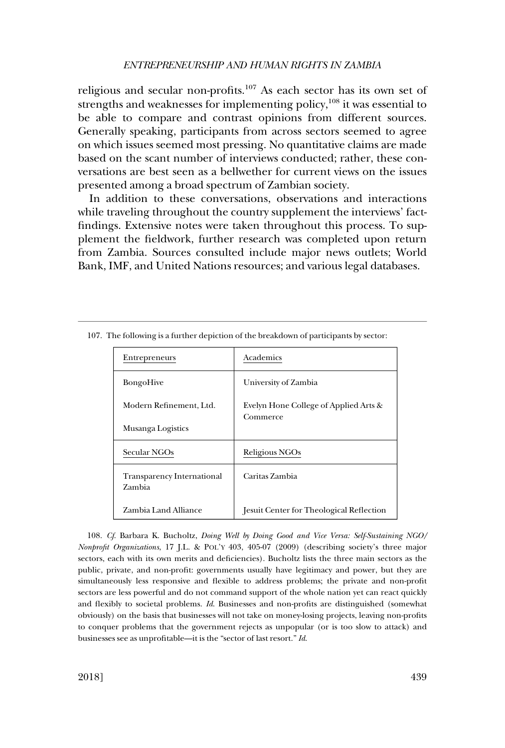#### *ENTREPRENEURSHIP AND HUMAN RIGHTS IN ZAMBIA*

religious and secular non-profits.<sup>107</sup> As each sector has its own set of strengths and weaknesses for implementing policy,  $108$  it was essential to be able to compare and contrast opinions from different sources. Generally speaking, participants from across sectors seemed to agree on which issues seemed most pressing. No quantitative claims are made based on the scant number of interviews conducted; rather, these conversations are best seen as a bellwether for current views on the issues presented among a broad spectrum of Zambian society.

In addition to these conversations, observations and interactions while traveling throughout the country supplement the interviews' factfindings. Extensive notes were taken throughout this process. To supplement the fieldwork, further research was completed upon return from Zambia. Sources consulted include major news outlets; World Bank, IMF, and United Nations resources; and various legal databases.

| Entrepreneurs                        | Academics                                         |  |
|--------------------------------------|---------------------------------------------------|--|
| <b>BongoHive</b>                     | University of Zambia                              |  |
| Modern Refinement, Ltd.              | Evelyn Hone College of Applied Arts &<br>Commerce |  |
| Musanga Logistics                    |                                                   |  |
| Secular NGOs                         | Religious NGOs                                    |  |
| Transparency International<br>Zambia | Caritas Zambia                                    |  |
| Zambia Land Alliance                 | Jesuit Center for Theological Reflection          |  |

107. The following is a further depiction of the breakdown of participants by sector:

108. *Cf*. Barbara K. Bucholtz, *Doing Well by Doing Good and Vice Versa: Self-Sustaining NGO/ Nonprofit Organizations*, 17 J.L. & POL'Y 403, 405-07 (2009) (describing society's three major sectors, each with its own merits and deficiencies). Bucholtz lists the three main sectors as the public, private, and non-profit: governments usually have legitimacy and power, but they are simultaneously less responsive and flexible to address problems; the private and non-profit sectors are less powerful and do not command support of the whole nation yet can react quickly and flexibly to societal problems. *Id*. Businesses and non-profits are distinguished (somewhat obviously) on the basis that businesses will not take on money-losing projects, leaving non-profits to conquer problems that the government rejects as unpopular (or is too slow to attack) and businesses see as unprofitable—it is the "sector of last resort." *Id*.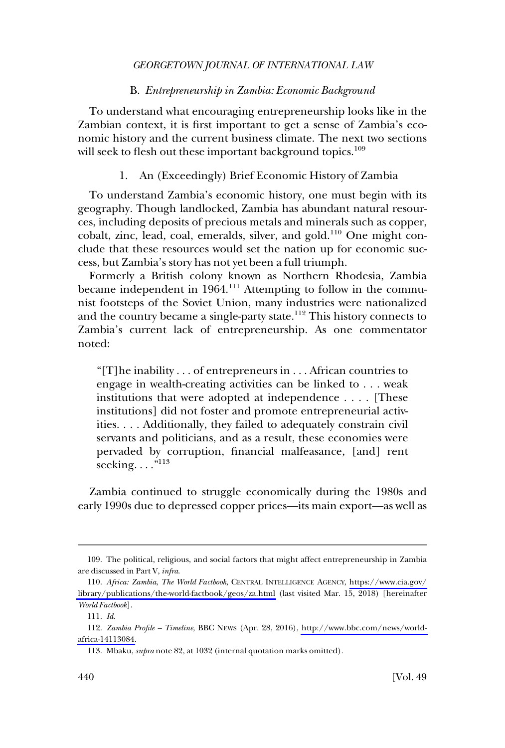### B. *Entrepreneurship in Zambia: Economic Background*

<span id="page-23-0"></span>To understand what encouraging entrepreneurship looks like in the Zambian context, it is first important to get a sense of Zambia's economic history and the current business climate. The next two sections will seek to flesh out these important background topics.<sup>109</sup>

#### 1. An (Exceedingly) Brief Economic History of Zambia

To understand Zambia's economic history, one must begin with its geography. Though landlocked, Zambia has abundant natural resources, including deposits of precious metals and minerals such as copper, cobalt, zinc, lead, coal, emeralds, silver, and gold.<sup>110</sup> One might conclude that these resources would set the nation up for economic success, but Zambia's story has not yet been a full triumph.

Formerly a British colony known as Northern Rhodesia, Zambia became independent in 1964.<sup>111</sup> Attempting to follow in the communist footsteps of the Soviet Union, many industries were nationalized and the country became a single-party state.<sup>112</sup> This history connects to Zambia's current lack of entrepreneurship. As one commentator noted:

"[T]he inability . . . of entrepreneurs in . . . African countries to engage in wealth-creating activities can be linked to . . . weak institutions that were adopted at independence . . . . [These institutions] did not foster and promote entrepreneurial activities. . . . Additionally, they failed to adequately constrain civil servants and politicians, and as a result, these economies were pervaded by corruption, financial malfeasance, [and] rent seeking.... $n^{113}$ 

Zambia continued to struggle economically during the 1980s and early 1990s due to depressed copper prices—its main export—as well as

<sup>109.</sup> The political, religious, and social factors that might affect entrepreneurship in Zambia are discussed in Part V, *infra*.

*Africa: Zambia*, *The World Factbook*, CENTRAL INTELLIGENCE AGENCY, [https://www.cia.gov/](https://www.cia.gov/library/publications/the-world-factbook/geos/za.html) 110. [library/publications/the-world-factbook/geos/za.html](https://www.cia.gov/library/publications/the-world-factbook/geos/za.html) (last visited Mar. 15, 2018) [hereinafter *World Factbook*].

<sup>111.</sup> *Id*.

*Zambia Profile – Timeline*, BBC NEWS (Apr. 28, 2016), [http://www.bbc.com/news/world-](http://www.bbc.com/news/world-africa-14113084)112. [africa-14113084.](http://www.bbc.com/news/world-africa-14113084)

<sup>113.</sup> Mbaku, *supra* note 82, at 1032 (internal quotation marks omitted).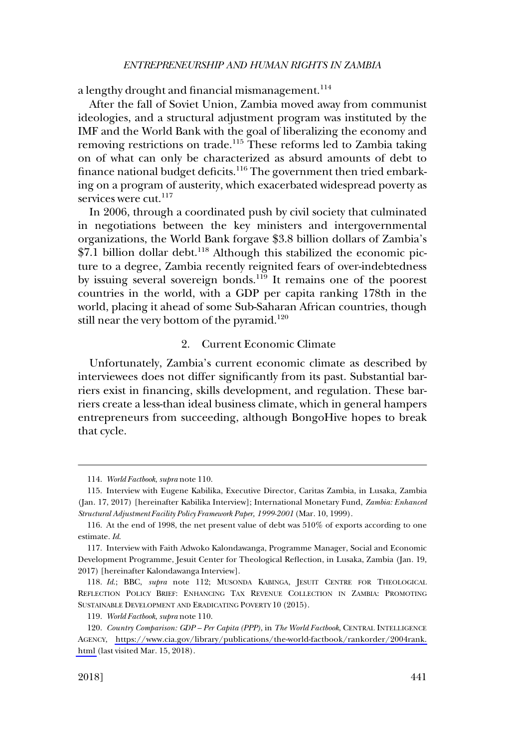<span id="page-24-0"></span>a lengthy drought and financial mismanagement.<sup>114</sup>

After the fall of Soviet Union, Zambia moved away from communist ideologies, and a structural adjustment program was instituted by the IMF and the World Bank with the goal of liberalizing the economy and removing restrictions on trade.<sup>115</sup> These reforms led to Zambia taking on of what can only be characterized as absurd amounts of debt to finance national budget deficits.<sup>116</sup> The government then tried embarking on a program of austerity, which exacerbated widespread poverty as services were cut.<sup>117</sup>

In 2006, through a coordinated push by civil society that culminated in negotiations between the key ministers and intergovernmental organizations, the World Bank forgave \$3.8 billion dollars of Zambia's  $$7.1$  billion dollar debt.<sup>118</sup> Although this stabilized the economic picture to a degree, Zambia recently reignited fears of over-indebtedness by issuing several sovereign bonds.<sup>119</sup> It remains one of the poorest countries in the world, with a GDP per capita ranking 178th in the world, placing it ahead of some Sub-Saharan African countries, though still near the very bottom of the pyramid.<sup>120</sup>

### 2. Current Economic Climate

Unfortunately, Zambia's current economic climate as described by interviewees does not differ significantly from its past. Substantial barriers exist in financing, skills development, and regulation. These barriers create a less-than ideal business climate, which in general hampers entrepreneurs from succeeding, although BongoHive hopes to break that cycle.

<sup>114.</sup> *World Factbook*, *supra* note 110.

<sup>115.</sup> Interview with Eugene Kabilika, Executive Director, Caritas Zambia, in Lusaka, Zambia (Jan. 17, 2017) [hereinafter Kabilika Interview]; International Monetary Fund, *Zambia: Enhanced Structural Adjustment Facility Policy Framework Paper, 1999-2001* (Mar. 10, 1999).

<sup>116.</sup> At the end of 1998, the net present value of debt was 510% of exports according to one estimate. *Id*.

<sup>117.</sup> Interview with Faith Adwoko Kalondawanga, Programme Manager, Social and Economic Development Programme, Jesuit Center for Theological Reflection, in Lusaka, Zambia (Jan. 19, 2017) [hereinafter Kalondawanga Interview].

<sup>118.</sup> *Id*.; BBC, *supra* note 112; MUSONDA KABINGA, JESUIT CENTRE FOR THEOLOGICAL REFLECTION POLICY BRIEF: ENHANCING TAX REVENUE COLLECTION IN ZAMBIA: PROMOTING SUSTAINABLE DEVELOPMENT AND ERADICATING POVERTY 10 (2015).

<sup>119.</sup> *World Factbook*, *supra* note 110.

*Country Comparison: GDP – Per Capita (PPP)*, in *The World Factbook*, CENTRAL INTELLIGENCE 120. AGENCY, [https://www.cia.gov/library/publications/the-world-factbook/rankorder/2004rank.](https://www.cia.gov/library/publications/the-world-factbook/rankorder/2004rank.html) [html](https://www.cia.gov/library/publications/the-world-factbook/rankorder/2004rank.html) (last visited Mar. 15, 2018).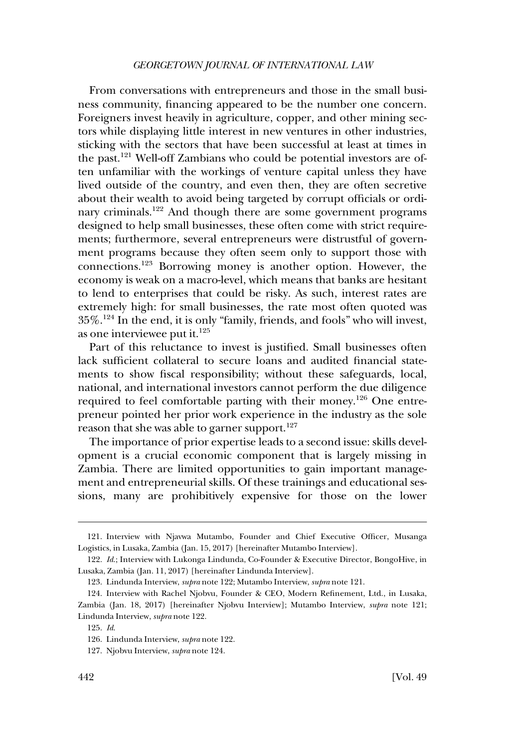From conversations with entrepreneurs and those in the small business community, financing appeared to be the number one concern. Foreigners invest heavily in agriculture, copper, and other mining sectors while displaying little interest in new ventures in other industries, sticking with the sectors that have been successful at least at times in the past.121 Well-off Zambians who could be potential investors are often unfamiliar with the workings of venture capital unless they have lived outside of the country, and even then, they are often secretive about their wealth to avoid being targeted by corrupt officials or ordinary criminals.<sup>122</sup> And though there are some government programs designed to help small businesses, these often come with strict requirements; furthermore, several entrepreneurs were distrustful of government programs because they often seem only to support those with connections.123 Borrowing money is another option. However, the economy is weak on a macro-level, which means that banks are hesitant to lend to enterprises that could be risky. As such, interest rates are extremely high: for small businesses, the rate most often quoted was 35%.124 In the end, it is only "family, friends, and fools" who will invest, as one interviewee put it. $^{125}$ 

Part of this reluctance to invest is justified. Small businesses often lack sufficient collateral to secure loans and audited financial statements to show fiscal responsibility; without these safeguards, local, national, and international investors cannot perform the due diligence required to feel comfortable parting with their money.<sup>126</sup> One entrepreneur pointed her prior work experience in the industry as the sole reason that she was able to garner support.<sup>127</sup>

The importance of prior expertise leads to a second issue: skills development is a crucial economic component that is largely missing in Zambia. There are limited opportunities to gain important management and entrepreneurial skills. Of these trainings and educational sessions, many are prohibitively expensive for those on the lower

<sup>121.</sup> Interview with Njavwa Mutambo, Founder and Chief Executive Officer, Musanga Logistics, in Lusaka, Zambia (Jan. 15, 2017) [hereinafter Mutambo Interview].

<sup>122.</sup> *Id*.; Interview with Lukonga Lindunda, Co-Founder & Executive Director, BongoHive, in Lusaka, Zambia (Jan. 11, 2017) [hereinafter Lindunda Interview].

<sup>123.</sup> Lindunda Interview, *supra* note 122; Mutambo Interview, *supra* note 121.

<sup>124.</sup> Interview with Rachel Njobvu, Founder & CEO, Modern Refinement, Ltd., in Lusaka, Zambia (Jan. 18, 2017) [hereinafter Njobvu Interview]; Mutambo Interview, *supra* note 121; Lindunda Interview, *supra* note 122.

<sup>125.</sup> *Id*.

<sup>126.</sup> Lindunda Interview, *supra* note 122.

<sup>127.</sup> Njobvu Interview, *supra* note 124.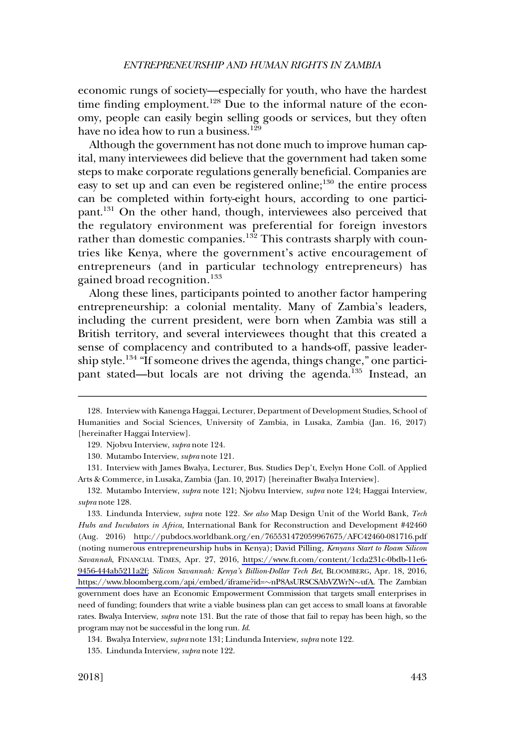economic rungs of society—especially for youth, who have the hardest time finding employment.<sup>128</sup> Due to the informal nature of the economy, people can easily begin selling goods or services, but they often have no idea how to run a business.<sup>129</sup>

Although the government has not done much to improve human capital, many interviewees did believe that the government had taken some steps to make corporate regulations generally beneficial. Companies are easy to set up and can even be registered online; $^{130}$  the entire process can be completed within forty-eight hours, according to one participant.131 On the other hand, though, interviewees also perceived that the regulatory environment was preferential for foreign investors rather than domestic companies.<sup>132</sup> This contrasts sharply with countries like Kenya, where the government's active encouragement of entrepreneurs (and in particular technology entrepreneurs) has gained broad recognition.<sup>133</sup>

Along these lines, participants pointed to another factor hampering entrepreneurship: a colonial mentality. Many of Zambia's leaders, including the current president, were born when Zambia was still a British territory, and several interviewees thought that this created a sense of complacency and contributed to a hands-off, passive leadership style.134 "If someone drives the agenda, things change," one participant stated—but locals are not driving the agenda.<sup>135</sup> Instead, an

Lindunda Interview, *supra* note 122*. See also* Map Design Unit of the World Bank, *Tech*  133. *Hubs and Incubators in Africa*, International Bank for Reconstruction and Development #42460 (Aug. 2016) <http://pubdocs.worldbank.org/en/765531472059967675/AFC42460-081716.pdf> (noting numerous entrepreneurship hubs in Kenya); David Pilling, *Kenyans Start to Roam Silicon Savannah*, FINANCIAL TIMES, Apr. 27, 2016, [https://www.ft.com/content/1cda231c-0bdb-11e6-](https://www.ft.com/content/1cda231c-0bdb-11e6-9456-444ab5211a2f) [9456-444ab5211a2f;](https://www.ft.com/content/1cda231c-0bdb-11e6-9456-444ab5211a2f) *Silicon Savannah: Kenya's Billion-Dollar Tech Bet*, BLOOMBERG, Apr. 18, 2016, [https://www.bloomberg.com/api/embed/iframe?id=](https://www.bloomberg.com/api/embed/iframe?id=~nP8AsURSCSAbVZWrN~ufA)~nP8AsURSCSAbVZWrN~ufA. The Zambian government does have an Economic Empowerment Commission that targets small enterprises in need of funding; founders that write a viable business plan can get access to small loans at favorable rates. Bwalya Interview, *supra* note 131. But the rate of those that fail to repay has been high, so the program may not be successful in the long run. *Id*.

<sup>128.</sup> Interview with Kanenga Haggai, Lecturer, Department of Development Studies, School of Humanities and Social Sciences, University of Zambia, in Lusaka, Zambia (Jan. 16, 2017) [hereinafter Haggai Interview].

<sup>129.</sup> Njobvu Interview, *supra* note 124.

<sup>130.</sup> Mutambo Interview, *supra* note 121.

<sup>131.</sup> Interview with James Bwalya, Lecturer, Bus. Studies Dep't, Evelyn Hone Coll. of Applied Arts & Commerce, in Lusaka, Zambia (Jan. 10, 2017) [hereinafter Bwalya Interview].

<sup>132.</sup> Mutambo Interview, *supra* note 121; Njobvu Interview, *supra* note 124; Haggai Interview, *supra* note 128.

<sup>134.</sup> Bwalya Interview, *supra* note 131; Lindunda Interview, *supra* note 122.

<sup>135.</sup> Lindunda Interview, *supra* note 122.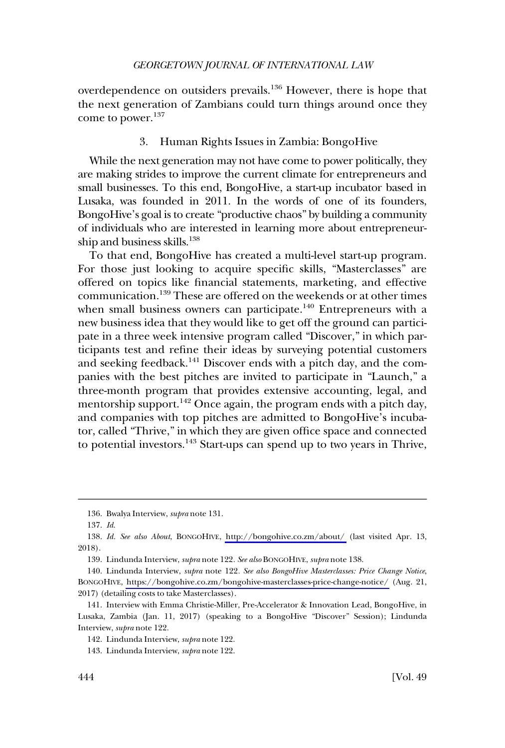<span id="page-27-0"></span>overdependence on outsiders prevails.<sup>136</sup> However, there is hope that the next generation of Zambians could turn things around once they come to power.<sup>137</sup>

#### 3. Human Rights Issues in Zambia: BongoHive

While the next generation may not have come to power politically, they are making strides to improve the current climate for entrepreneurs and small businesses. To this end, BongoHive, a start-up incubator based in Lusaka, was founded in 2011. In the words of one of its founders, BongoHive's goal is to create "productive chaos" by building a community of individuals who are interested in learning more about entrepreneurship and business skills.<sup>138</sup>

To that end, BongoHive has created a multi-level start-up program. For those just looking to acquire specific skills, "Masterclasses" are offered on topics like financial statements, marketing, and effective communication.139 These are offered on the weekends or at other times when small business owners can participate.<sup>140</sup> Entrepreneurs with a new business idea that they would like to get off the ground can participate in a three week intensive program called "Discover," in which participants test and refine their ideas by surveying potential customers and seeking feedback.141 Discover ends with a pitch day, and the companies with the best pitches are invited to participate in "Launch," a three-month program that provides extensive accounting, legal, and mentorship support.<sup>142</sup> Once again, the program ends with a pitch day, and companies with top pitches are admitted to BongoHive's incubator, called "Thrive," in which they are given office space and connected to potential investors.<sup>143</sup> Start-ups can spend up to two years in Thrive,

<sup>136.</sup> Bwalya Interview, *supra* note 131.

<sup>137.</sup> *Id*.

<sup>138.</sup> Id. See also About, BONGOHIVE, <http://bongohive.co.zm/about/>(last visited Apr. 13, 2018).

<sup>139.</sup> Lindunda Interview, *supra* note 122*. See also* BONGOHIVE, *supra* note 138.

Lindunda Interview, *supra* note 122*. See also BongoHive Masterclasses: Price Change Notice*, 140. BONGOHIVE, <https://bongohive.co.zm/bongohive-masterclasses-price-change-notice/>(Aug. 21, 2017) (detailing costs to take Masterclasses).

<sup>141.</sup> Interview with Emma Christie-Miller, Pre-Accelerator & Innovation Lead, BongoHive, in Lusaka, Zambia (Jan. 11, 2017) (speaking to a BongoHive "Discover" Session); Lindunda Interview, *supra* note 122.

<sup>142.</sup> Lindunda Interview, *supra* note 122.

<sup>143.</sup> Lindunda Interview, *supra* note 122.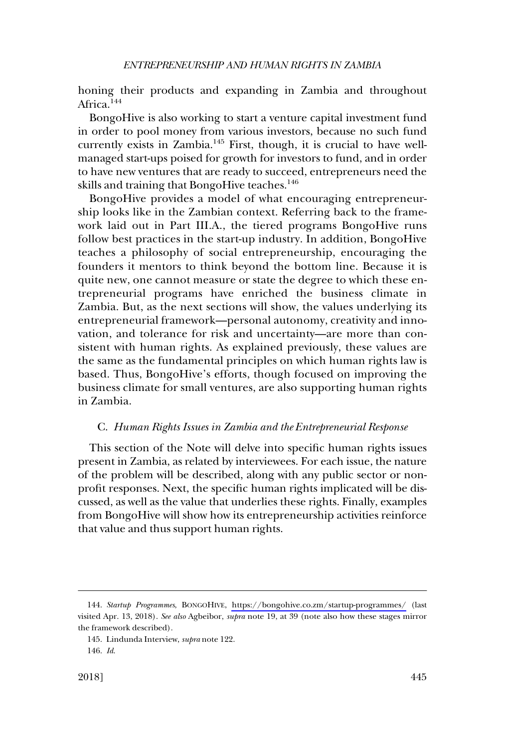<span id="page-28-0"></span>honing their products and expanding in Zambia and throughout Africa.<sup>144</sup>

BongoHive is also working to start a venture capital investment fund in order to pool money from various investors, because no such fund currently exists in Zambia.145 First, though, it is crucial to have wellmanaged start-ups poised for growth for investors to fund, and in order to have new ventures that are ready to succeed, entrepreneurs need the skills and training that BongoHive teaches.<sup>146</sup>

BongoHive provides a model of what encouraging entrepreneurship looks like in the Zambian context. Referring back to the framework laid out in Part III.A., the tiered programs BongoHive runs follow best practices in the start-up industry. In addition, BongoHive teaches a philosophy of social entrepreneurship, encouraging the founders it mentors to think beyond the bottom line. Because it is quite new, one cannot measure or state the degree to which these entrepreneurial programs have enriched the business climate in Zambia. But, as the next sections will show, the values underlying its entrepreneurial framework—personal autonomy, creativity and innovation, and tolerance for risk and uncertainty—are more than consistent with human rights. As explained previously, these values are the same as the fundamental principles on which human rights law is based. Thus, BongoHive's efforts, though focused on improving the business climate for small ventures, are also supporting human rights in Zambia.

#### C. *Human Rights Issues in Zambia and the Entrepreneurial Response*

This section of the Note will delve into specific human rights issues present in Zambia, as related by interviewees. For each issue, the nature of the problem will be described, along with any public sector or nonprofit responses. Next, the specific human rights implicated will be discussed, as well as the value that underlies these rights. Finally, examples from BongoHive will show how its entrepreneurship activities reinforce that value and thus support human rights.

*Startup Programmes*, BONGOHIVE, <https://bongohive.co.zm/startup-programmes/> (last 144. visited Apr. 13, 2018). *See also* Agbeibor, *supra* note 19, at 39 (note also how these stages mirror the framework described).

<sup>145.</sup> Lindunda Interview, *supra* note 122.

<sup>146.</sup> *Id*.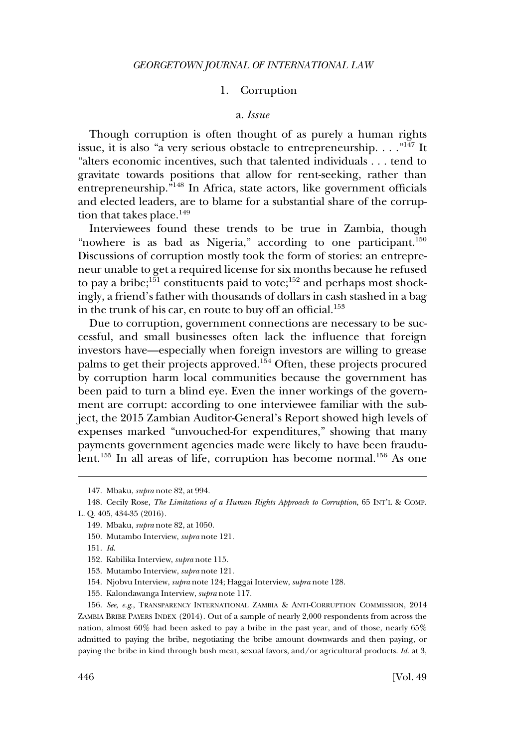### 1. Corruption

#### a. *Issue*

<span id="page-29-0"></span>Though corruption is often thought of as purely a human rights issue, it is also "a very serious obstacle to entrepreneurship.  $\dots$ ."<sup>147</sup> It "alters economic incentives, such that talented individuals . . . tend to gravitate towards positions that allow for rent-seeking, rather than entrepreneurship."<sup>148</sup> In Africa, state actors, like government officials and elected leaders, are to blame for a substantial share of the corruption that takes place.<sup>149</sup>

Interviewees found these trends to be true in Zambia, though "nowhere is as bad as Nigeria," according to one participant.<sup>150</sup> Discussions of corruption mostly took the form of stories: an entrepreneur unable to get a required license for six months because he refused to pay a bribe; $151$  constituents paid to vote; $152$  and perhaps most shockingly, a friend's father with thousands of dollars in cash stashed in a bag in the trunk of his car, en route to buy off an official.<sup>153</sup>

Due to corruption, government connections are necessary to be successful, and small businesses often lack the influence that foreign investors have—especially when foreign investors are willing to grease palms to get their projects approved.<sup>154</sup> Often, these projects procured by corruption harm local communities because the government has been paid to turn a blind eye. Even the inner workings of the government are corrupt: according to one interviewee familiar with the subject, the 2015 Zambian Auditor-General's Report showed high levels of expenses marked "unvouched-for expenditures," showing that many payments government agencies made were likely to have been fraudulent.<sup>155</sup> In all areas of life, corruption has become normal.<sup>156</sup> As one

151. *Id*.

<sup>147.</sup> Mbaku, *supra* note 82, at 994.

<sup>148.</sup> Cecily Rose, *The Limitations of a Human Rights Approach to Corruption*, 65 INT'L & COMP. L. Q. 405, 434-35 (2016).

<sup>149.</sup> Mbaku, *supra* note 82, at 1050.

<sup>150.</sup> Mutambo Interview, *supra* note 121.

<sup>152.</sup> Kabilika Interview, *supra* note 115.

<sup>153.</sup> Mutambo Interview, *supra* note 121.

<sup>154.</sup> Njobvu Interview, *supra* note 124; Haggai Interview, *supra* note 128.

<sup>155.</sup> Kalondawanga Interview, *supra* note 117.

<sup>156.</sup> *See*, *e.g*., TRANSPARENCY INTERNATIONAL ZAMBIA & ANTI-CORRUPTION COMMISSION, 2014 ZAMBIA BRIBE PAYERS INDEX (2014). Out of a sample of nearly 2,000 respondents from across the nation, almost 60% had been asked to pay a bribe in the past year, and of those, nearly 65% admitted to paying the bribe, negotiating the bribe amount downwards and then paying, or paying the bribe in kind through bush meat, sexual favors, and/or agricultural products. *Id*. at 3,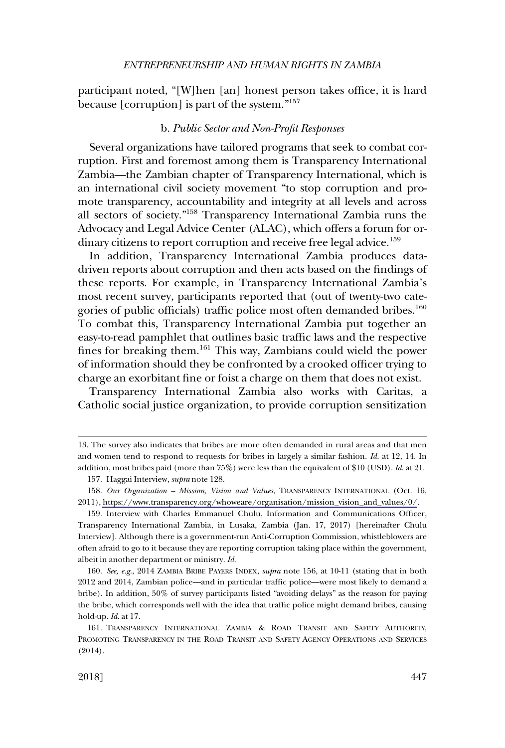<span id="page-30-0"></span>participant noted, "[W]hen [an] honest person takes office, it is hard because [corruption] is part of the system."157

#### b. *Public Sector and Non-Profit Responses*

Several organizations have tailored programs that seek to combat corruption. First and foremost among them is Transparency International Zambia—the Zambian chapter of Transparency International, which is an international civil society movement "to stop corruption and promote transparency, accountability and integrity at all levels and across all sectors of society."158 Transparency International Zambia runs the Advocacy and Legal Advice Center (ALAC), which offers a forum for ordinary citizens to report corruption and receive free legal advice.<sup>159</sup>

In addition, Transparency International Zambia produces datadriven reports about corruption and then acts based on the findings of these reports. For example, in Transparency International Zambia's most recent survey, participants reported that (out of twenty-two categories of public officials) traffic police most often demanded bribes.<sup>160</sup> To combat this, Transparency International Zambia put together an easy-to-read pamphlet that outlines basic traffic laws and the respective fines for breaking them.<sup>161</sup> This way, Zambians could wield the power of information should they be confronted by a crooked officer trying to charge an exorbitant fine or foist a charge on them that does not exist.

Transparency International Zambia also works with Caritas, a Catholic social justice organization, to provide corruption sensitization

<sup>13.</sup> The survey also indicates that bribes are more often demanded in rural areas and that men and women tend to respond to requests for bribes in largely a similar fashion. *Id*. at 12, 14. In addition, most bribes paid (more than 75%) were less than the equivalent of \$10 (USD). *Id*. at 21.

<sup>157.</sup> Haggai Interview, *supra* note 128.

<sup>158.</sup> Our Organization - Mission, Vision and Values, TRANSPARENCY INTERNATIONAL (Oct. 16, 2011), [https://www.transparency.org/whoweare/organisation/mission\\_vision\\_and\\_values/0/.](https://www.transparency.org/whoweare/organisation/mission_vision_and_values/0/)

<sup>159.</sup> Interview with Charles Emmanuel Chulu, Information and Communications Officer, Transparency International Zambia, in Lusaka, Zambia (Jan. 17, 2017) [hereinafter Chulu Interview]. Although there is a government-run Anti-Corruption Commission, whistleblowers are often afraid to go to it because they are reporting corruption taking place within the government, albeit in another department or ministry. *Id*.

<sup>160.</sup> *See, e.g*., 2014 ZAMBIA BRIBE PAYERS INDEX, *supra* note 156, at 10-11 (stating that in both 2012 and 2014, Zambian police—and in particular traffic police—were most likely to demand a bribe). In addition, 50% of survey participants listed "avoiding delays" as the reason for paying the bribe, which corresponds well with the idea that traffic police might demand bribes, causing hold-up. *Id*. at 17.

<sup>161.</sup> TRANSPARENCY INTERNATIONAL ZAMBIA & ROAD TRANSIT AND SAFETY AUTHORITY, PROMOTING TRANSPARENCY IN THE ROAD TRANSIT AND SAFETY AGENCY OPERATIONS AND SERVICES (2014).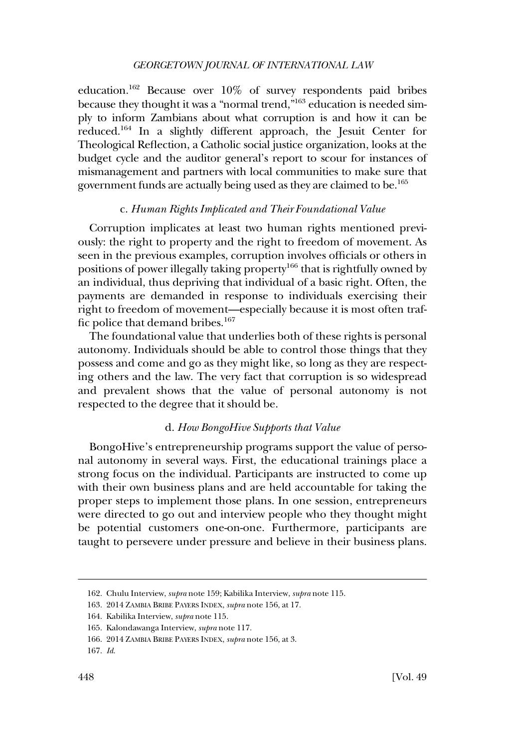<span id="page-31-0"></span>education.162 Because over 10% of survey respondents paid bribes because they thought it was a "normal trend,"163 education is needed simply to inform Zambians about what corruption is and how it can be reduced.164 In a slightly different approach, the Jesuit Center for Theological Reflection, a Catholic social justice organization, looks at the budget cycle and the auditor general's report to scour for instances of mismanagement and partners with local communities to make sure that government funds are actually being used as they are claimed to be.<sup>165</sup>

#### c. *Human Rights Implicated and Their Foundational Value*

Corruption implicates at least two human rights mentioned previously: the right to property and the right to freedom of movement. As seen in the previous examples, corruption involves officials or others in positions of power illegally taking property<sup>166</sup> that is rightfully owned by an individual, thus depriving that individual of a basic right. Often, the payments are demanded in response to individuals exercising their right to freedom of movement—especially because it is most often traffic police that demand bribes.<sup>167</sup>

The foundational value that underlies both of these rights is personal autonomy. Individuals should be able to control those things that they possess and come and go as they might like, so long as they are respecting others and the law. The very fact that corruption is so widespread and prevalent shows that the value of personal autonomy is not respected to the degree that it should be.

#### d. *How BongoHive Supports that Value*

BongoHive's entrepreneurship programs support the value of personal autonomy in several ways. First, the educational trainings place a strong focus on the individual. Participants are instructed to come up with their own business plans and are held accountable for taking the proper steps to implement those plans. In one session, entrepreneurs were directed to go out and interview people who they thought might be potential customers one-on-one. Furthermore, participants are taught to persevere under pressure and believe in their business plans.

<sup>162.</sup> Chulu Interview, *supra* note 159; Kabilika Interview, *supra* note 115.

<sup>163. 2014</sup> ZAMBIA BRIBE PAYERS INDEX, *supra* note 156, at 17.

<sup>164.</sup> Kabilika Interview, *supra* note 115.

<sup>165.</sup> Kalondawanga Interview, *supra* note 117.

<sup>166. 2014</sup> ZAMBIA BRIBE PAYERS INDEX, *supra* note 156, at 3.

<sup>167.</sup> *Id*.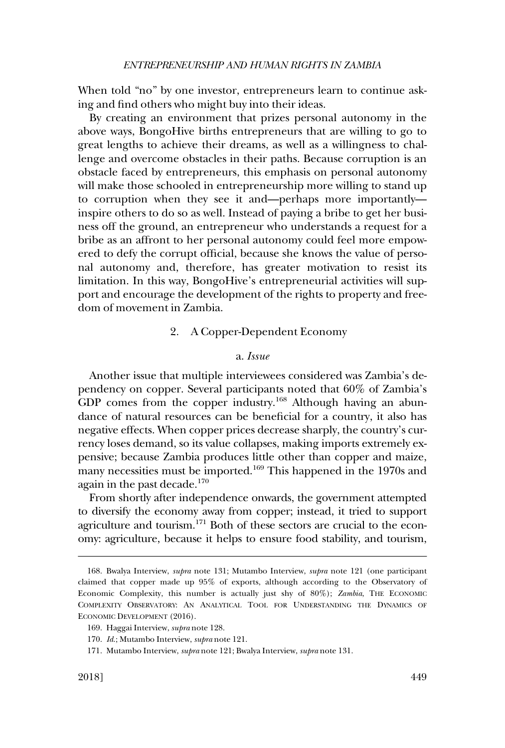<span id="page-32-0"></span>When told "no" by one investor, entrepreneurs learn to continue asking and find others who might buy into their ideas.

By creating an environment that prizes personal autonomy in the above ways, BongoHive births entrepreneurs that are willing to go to great lengths to achieve their dreams, as well as a willingness to challenge and overcome obstacles in their paths. Because corruption is an obstacle faced by entrepreneurs, this emphasis on personal autonomy will make those schooled in entrepreneurship more willing to stand up to corruption when they see it and—perhaps more importantly inspire others to do so as well. Instead of paying a bribe to get her business off the ground, an entrepreneur who understands a request for a bribe as an affront to her personal autonomy could feel more empowered to defy the corrupt official, because she knows the value of personal autonomy and, therefore, has greater motivation to resist its limitation. In this way, BongoHive's entrepreneurial activities will support and encourage the development of the rights to property and freedom of movement in Zambia.

# 2. A Copper-Dependent Economy

#### a. *Issue*

Another issue that multiple interviewees considered was Zambia's dependency on copper. Several participants noted that 60% of Zambia's GDP comes from the copper industry.<sup>168</sup> Although having an abundance of natural resources can be beneficial for a country, it also has negative effects. When copper prices decrease sharply, the country's currency loses demand, so its value collapses, making imports extremely expensive; because Zambia produces little other than copper and maize, many necessities must be imported.<sup>169</sup> This happened in the 1970s and again in the past decade. $170$ 

From shortly after independence onwards, the government attempted to diversify the economy away from copper; instead, it tried to support agriculture and tourism.<sup>171</sup> Both of these sectors are crucial to the economy: agriculture, because it helps to ensure food stability, and tourism,

<sup>168.</sup> Bwalya Interview, *supra* note 131; Mutambo Interview, *supra* note 121 (one participant claimed that copper made up 95% of exports, although according to the Observatory of Economic Complexity, this number is actually just shy of 80%); *Zambia*, THE ECONOMIC COMPLEXITY OBSERVATORY: AN ANALYTICAL TOOL FOR UNDERSTANDING THE DYNAMICS OF ECONOMIC DEVELOPMENT (2016).

<sup>169.</sup> Haggai Interview, *supra* note 128.

<sup>170.</sup> *Id*.; Mutambo Interview, *supra* note 121.

<sup>171.</sup> Mutambo Interview, *supra* note 121; Bwalya Interview, *supra* note 131.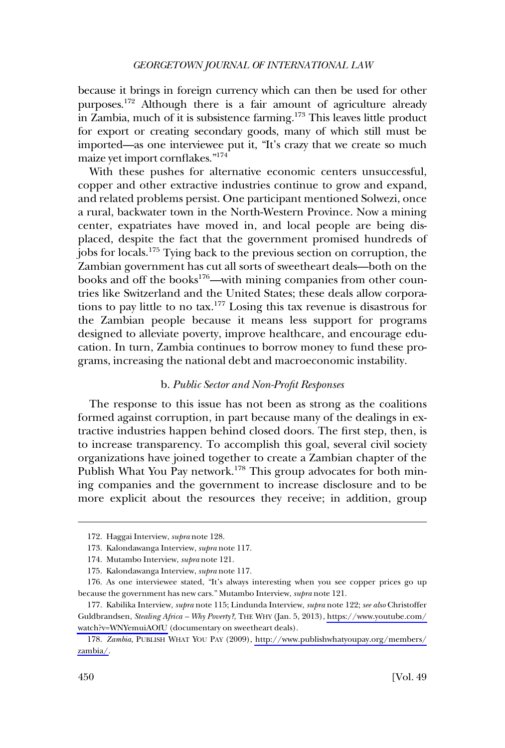<span id="page-33-0"></span>because it brings in foreign currency which can then be used for other purposes.172 Although there is a fair amount of agriculture already in Zambia, much of it is subsistence farming.173 This leaves little product for export or creating secondary goods, many of which still must be imported—as one interviewee put it, "It's crazy that we create so much maize yet import cornflakes."174

With these pushes for alternative economic centers unsuccessful, copper and other extractive industries continue to grow and expand, and related problems persist. One participant mentioned Solwezi, once a rural, backwater town in the North-Western Province. Now a mining center, expatriates have moved in, and local people are being displaced, despite the fact that the government promised hundreds of jobs for locals.175 Tying back to the previous section on corruption, the Zambian government has cut all sorts of sweetheart deals—both on the books and off the books<sup>176</sup>—with mining companies from other countries like Switzerland and the United States; these deals allow corporations to pay little to no tax.177 Losing this tax revenue is disastrous for the Zambian people because it means less support for programs designed to alleviate poverty, improve healthcare, and encourage education. In turn, Zambia continues to borrow money to fund these programs, increasing the national debt and macroeconomic instability.

# b. *Public Sector and Non-Profit Responses*

The response to this issue has not been as strong as the coalitions formed against corruption, in part because many of the dealings in extractive industries happen behind closed doors. The first step, then, is to increase transparency. To accomplish this goal, several civil society organizations have joined together to create a Zambian chapter of the Publish What You Pay network.<sup>178</sup> This group advocates for both mining companies and the government to increase disclosure and to be more explicit about the resources they receive; in addition, group

<sup>172.</sup> Haggai Interview, *supra* note 128.

<sup>173.</sup> Kalondawanga Interview, *supra* note 117.

<sup>174.</sup> Mutambo Interview, *supra* note 121.

<sup>175.</sup> Kalondawanga Interview, *supra* note 117.

<sup>176.</sup> As one interviewee stated, "It's always interesting when you see copper prices go up because the government has new cars." Mutambo Interview, *supra* note 121.

Kabilika Interview, *supra* note 115; Lindunda Interview, *supra* note 122; *see also* Christoffer 177. Guldbrandsen, *Stealing Africa – Why Poverty?*, THE WHY (Jan. 5, 2013), [https://www.youtube.com/](https://www.youtube.com/watch?v=WNYemuiAOfU) [watch?v=WNYemuiAOfU](https://www.youtube.com/watch?v=WNYemuiAOfU) (documentary on sweetheart deals).

<sup>178.</sup> *Zambia*, PUBLISH WHAT YOU PAY (2009), [http://www.publishwhatyoupay.org/members/](http://www.publishwhatyoupay.org/members/zambia/) [zambia/](http://www.publishwhatyoupay.org/members/zambia/).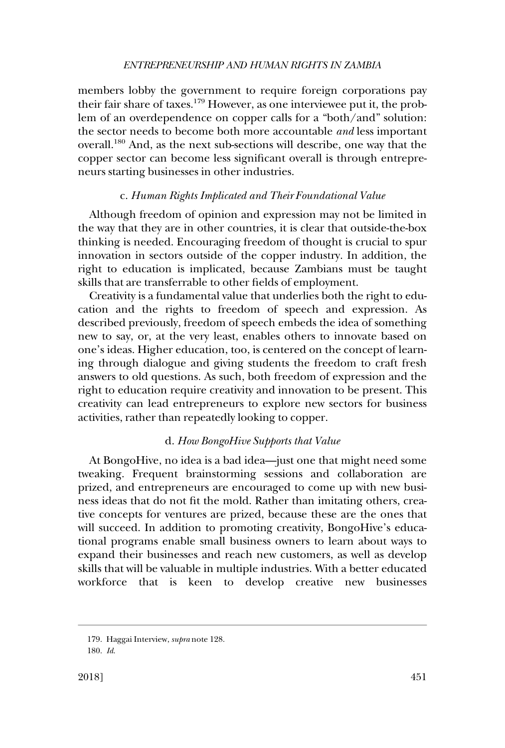#### *ENTREPRENEURSHIP AND HUMAN RIGHTS IN ZAMBIA*

<span id="page-34-0"></span>members lobby the government to require foreign corporations pay their fair share of taxes.<sup>179</sup> However, as one interviewee put it, the problem of an overdependence on copper calls for a "both/and" solution: the sector needs to become both more accountable *and* less important overall.180 And, as the next sub-sections will describe, one way that the copper sector can become less significant overall is through entrepreneurs starting businesses in other industries.

# c. *Human Rights Implicated and Their Foundational Value*

Although freedom of opinion and expression may not be limited in the way that they are in other countries, it is clear that outside-the-box thinking is needed. Encouraging freedom of thought is crucial to spur innovation in sectors outside of the copper industry. In addition, the right to education is implicated, because Zambians must be taught skills that are transferrable to other fields of employment.

Creativity is a fundamental value that underlies both the right to education and the rights to freedom of speech and expression. As described previously, freedom of speech embeds the idea of something new to say, or, at the very least, enables others to innovate based on one's ideas. Higher education, too, is centered on the concept of learning through dialogue and giving students the freedom to craft fresh answers to old questions. As such, both freedom of expression and the right to education require creativity and innovation to be present. This creativity can lead entrepreneurs to explore new sectors for business activities, rather than repeatedly looking to copper.

#### d. *How BongoHive Supports that Value*

At BongoHive, no idea is a bad idea—just one that might need some tweaking. Frequent brainstorming sessions and collaboration are prized, and entrepreneurs are encouraged to come up with new business ideas that do not fit the mold. Rather than imitating others, creative concepts for ventures are prized, because these are the ones that will succeed. In addition to promoting creativity, BongoHive's educational programs enable small business owners to learn about ways to expand their businesses and reach new customers, as well as develop skills that will be valuable in multiple industries. With a better educated workforce that is keen to develop creative new businesses

<sup>179.</sup> Haggai Interview, *supra* note 128.

<sup>180.</sup> *Id*.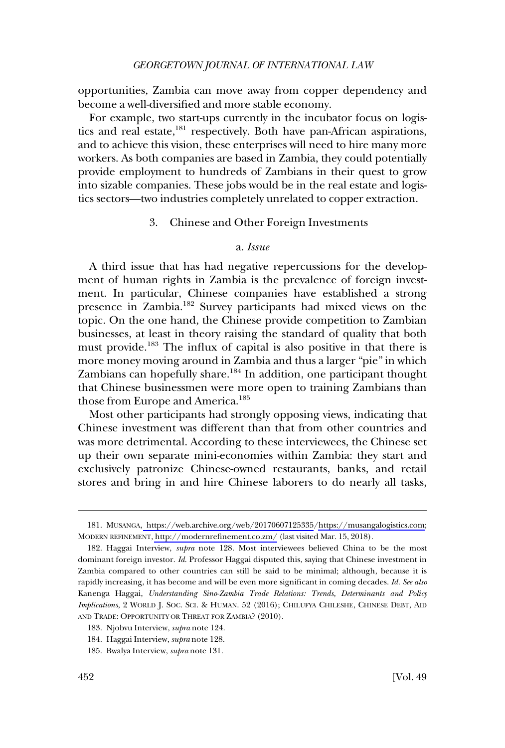<span id="page-35-0"></span>opportunities, Zambia can move away from copper dependency and become a well-diversified and more stable economy.

For example, two start-ups currently in the incubator focus on logistics and real estate,<sup>181</sup> respectively. Both have pan-African aspirations, and to achieve this vision, these enterprises will need to hire many more workers. As both companies are based in Zambia, they could potentially provide employment to hundreds of Zambians in their quest to grow into sizable companies. These jobs would be in the real estate and logistics sectors—two industries completely unrelated to copper extraction.

#### 3. Chinese and Other Foreign Investments

#### a. *Issue*

A third issue that has had negative repercussions for the development of human rights in Zambia is the prevalence of foreign investment. In particular, Chinese companies have established a strong presence in Zambia.182 Survey participants had mixed views on the topic. On the one hand, the Chinese provide competition to Zambian businesses, at least in theory raising the standard of quality that both must provide.<sup>183</sup> The influx of capital is also positive in that there is more money moving around in Zambia and thus a larger "pie" in which Zambians can hopefully share.<sup>184</sup> In addition, one participant thought that Chinese businessmen were more open to training Zambians than those from Europe and America.<sup>185</sup>

Most other participants had strongly opposing views, indicating that Chinese investment was different than that from other countries and was more detrimental. According to these interviewees, the Chinese set up their own separate mini-economies within Zambia: they start and exclusively patronize Chinese-owned restaurants, banks, and retail stores and bring in and hire Chinese laborers to do nearly all tasks,

<sup>181.</sup> MUSANGA, [https://web.archive.org/web/20170607125335](https://web.archive.org/web/20170607125335/)[/https://musangalogistics.com;](https://musangalogistics.com) MODERN REFINEMENT,<http://modernrefinement.co.zm/> (last visited Mar. 15, 2018).

<sup>182.</sup> Haggai Interview, *supra* note 128. Most interviewees believed China to be the most dominant foreign investor. *Id*. Professor Haggai disputed this, saying that Chinese investment in Zambia compared to other countries can still be said to be minimal; although, because it is rapidly increasing, it has become and will be even more significant in coming decades. *Id. See also*  Kanenga Haggai, *Understanding Sino-Zambia Trade Relations: Trends, Determinants and Policy Implications*, 2 WORLD J. SOC. SCI. & HUMAN. 52 (2016); CHILUFYA CHILESHE, CHINESE DEBT, AID AND TRADE: OPPORTUNITY OR THREAT FOR ZAMBIA? (2010).

<sup>183.</sup> Njobvu Interview, *supra* note 124.

<sup>184.</sup> Haggai Interview, *supra* note 128.

<sup>185.</sup> Bwalya Interview, *supra* note 131.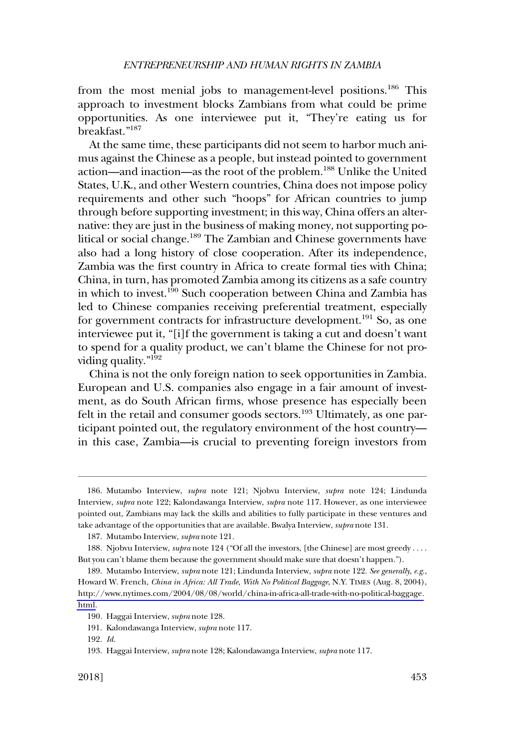from the most menial jobs to management-level positions.<sup>186</sup> This approach to investment blocks Zambians from what could be prime opportunities. As one interviewee put it, "They're eating us for breakfast."<sup>187</sup>

At the same time, these participants did not seem to harbor much animus against the Chinese as a people, but instead pointed to government action—and inaction—as the root of the problem.188 Unlike the United States, U.K., and other Western countries, China does not impose policy requirements and other such "hoops" for African countries to jump through before supporting investment; in this way, China offers an alternative: they are just in the business of making money, not supporting political or social change.<sup>189</sup> The Zambian and Chinese governments have also had a long history of close cooperation. After its independence, Zambia was the first country in Africa to create formal ties with China; China, in turn, has promoted Zambia among its citizens as a safe country in which to invest.190 Such cooperation between China and Zambia has led to Chinese companies receiving preferential treatment, especially for government contracts for infrastructure development.<sup>191</sup> So, as one interviewee put it, "[i]f the government is taking a cut and doesn't want to spend for a quality product, we can't blame the Chinese for not providing quality."<sup>192</sup>

China is not the only foreign nation to seek opportunities in Zambia. European and U.S. companies also engage in a fair amount of investment, as do South African firms, whose presence has especially been felt in the retail and consumer goods sectors.<sup>193</sup> Ultimately, as one participant pointed out, the regulatory environment of the host country in this case, Zambia—is crucial to preventing foreign investors from

<sup>186.</sup> Mutambo Interview, *supra* note 121; Njobvu Interview, *supra* note 124; Lindunda Interview, *supra* note 122; Kalondawanga Interview, *supra* note 117. However, as one interviewee pointed out, Zambians may lack the skills and abilities to fully participate in these ventures and take advantage of the opportunities that are available. Bwalya Interview, *supra* note 131.

<sup>187.</sup> Mutambo Interview, *supra* note 121.

<sup>188.</sup> Njobvu Interview, *supra* note 124 ("Of all the investors, [the Chinese] are most greedy . . . . But you can't blame them because the government should make sure that doesn't happen.").

<sup>189.</sup> Mutambo Interview, *supra* note 121; Lindunda Interview, *supra* note 122. See generally, e.g., Howard W. French, *China in Africa: All Trade, With No Political Baggage*, N.Y. TIMES (Aug. 8, 2004), [http://www.nytimes.com/2004/08/08/world/china-in-africa-all-trade-with-no-political-baggage.](http://www.nytimes.com/2004/08/08/world/china-in-africa-all-trade-with-no-political-baggage.html) [html.](http://www.nytimes.com/2004/08/08/world/china-in-africa-all-trade-with-no-political-baggage.html)

<sup>190.</sup> Haggai Interview, *supra* note 128.

<sup>191.</sup> Kalondawanga Interview, *supra* note 117.

<sup>192.</sup> *Id*.

<sup>193.</sup> Haggai Interview, *supra* note 128; Kalondawanga Interview, *supra* note 117.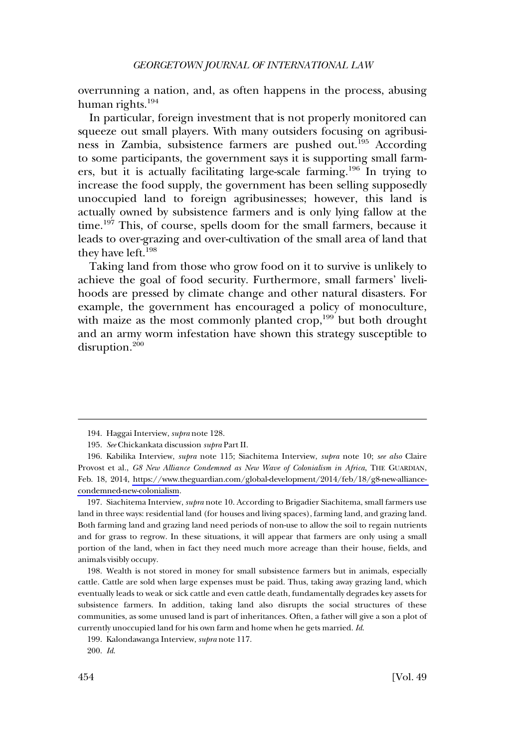overrunning a nation, and, as often happens in the process, abusing human rights.<sup>194</sup>

In particular, foreign investment that is not properly monitored can squeeze out small players. With many outsiders focusing on agribusiness in Zambia, subsistence farmers are pushed out.<sup>195</sup> According to some participants, the government says it is supporting small farmers, but it is actually facilitating large-scale farming.<sup>196</sup> In trying to increase the food supply, the government has been selling supposedly unoccupied land to foreign agribusinesses; however, this land is actually owned by subsistence farmers and is only lying fallow at the time.<sup>197</sup> This, of course, spells doom for the small farmers, because it leads to over-grazing and over-cultivation of the small area of land that they have left. $198$ 

Taking land from those who grow food on it to survive is unlikely to achieve the goal of food security. Furthermore, small farmers' livelihoods are pressed by climate change and other natural disasters. For example, the government has encouraged a policy of monoculture, with maize as the most commonly planted crop,<sup>199</sup> but both drought and an army worm infestation have shown this strategy susceptible to disruption.<sup>200</sup>

197. Siachitema Interview, *supra* note 10. According to Brigadier Siachitema, small farmers use land in three ways: residential land (for houses and living spaces), farming land, and grazing land. Both farming land and grazing land need periods of non-use to allow the soil to regain nutrients and for grass to regrow. In these situations, it will appear that farmers are only using a small portion of the land, when in fact they need much more acreage than their house, fields, and animals visibly occupy.

198. Wealth is not stored in money for small subsistence farmers but in animals, especially cattle. Cattle are sold when large expenses must be paid. Thus, taking away grazing land, which eventually leads to weak or sick cattle and even cattle death, fundamentally degrades key assets for subsistence farmers. In addition, taking land also disrupts the social structures of these communities, as some unused land is part of inheritances. Often, a father will give a son a plot of currently unoccupied land for his own farm and home when he gets married. *Id*.

199. Kalondawanga Interview, *supra* note 117.

<sup>194.</sup> Haggai Interview, *supra* note 128.

<sup>195.</sup> *See* Chickankata discussion *supra* Part II.

Kabilika Interview, *supra* note 115; Siachitema Interview, *supra* note 10; *see also* Claire 196. Provost et al., *G8 New Alliance Condemned as New Wave of Colonialism in Africa*, THE GUARDIAN, Feb. 18, 2014, [https://www.theguardian.com/global-development/2014/feb/18/g8-new-alliance](https://www.theguardian.com/global-development/2014/feb/18/g8-new-alliance-condemned-new-colonialism)[condemned-new-colonialism](https://www.theguardian.com/global-development/2014/feb/18/g8-new-alliance-condemned-new-colonialism).

<sup>200.</sup> *Id*.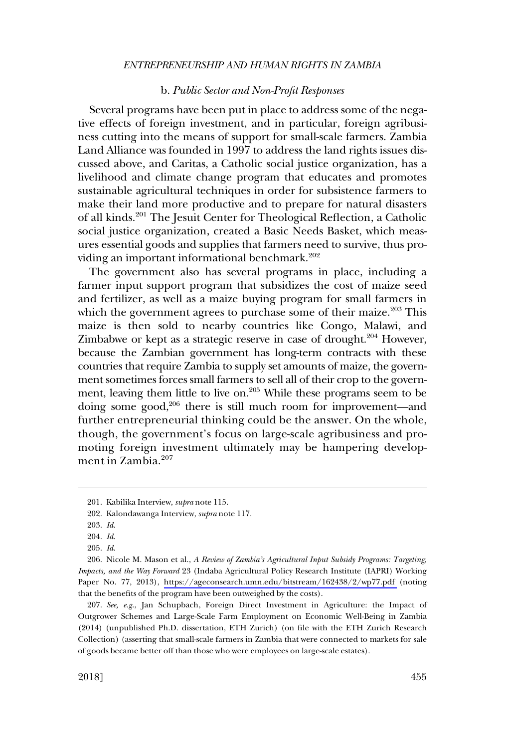#### *ENTREPRENEURSHIP AND HUMAN RIGHTS IN ZAMBIA*

#### b. *Public Sector and Non-Profit Responses*

<span id="page-38-0"></span>Several programs have been put in place to address some of the negative effects of foreign investment, and in particular, foreign agribusiness cutting into the means of support for small-scale farmers. Zambia Land Alliance was founded in 1997 to address the land rights issues discussed above, and Caritas, a Catholic social justice organization, has a livelihood and climate change program that educates and promotes sustainable agricultural techniques in order for subsistence farmers to make their land more productive and to prepare for natural disasters of all kinds.201 The Jesuit Center for Theological Reflection, a Catholic social justice organization, created a Basic Needs Basket, which measures essential goods and supplies that farmers need to survive, thus providing an important informational benchmark.<sup>202</sup>

The government also has several programs in place, including a farmer input support program that subsidizes the cost of maize seed and fertilizer, as well as a maize buying program for small farmers in which the government agrees to purchase some of their maize. $203$  This maize is then sold to nearby countries like Congo, Malawi, and Zimbabwe or kept as a strategic reserve in case of drought.<sup>204</sup> However, because the Zambian government has long-term contracts with these countries that require Zambia to supply set amounts of maize, the government sometimes forces small farmers to sell all of their crop to the government, leaving them little to live on. $205$  While these programs seem to be doing some good,<sup>206</sup> there is still much room for improvement—and further entrepreneurial thinking could be the answer. On the whole, though, the government's focus on large-scale agribusiness and promoting foreign investment ultimately may be hampering development in Zambia.<sup>207</sup>

<sup>201.</sup> Kabilika Interview, *supra* note 115.

<sup>202.</sup> Kalondawanga Interview, *supra* note 117.

<sup>203.</sup> *Id*.

<sup>204.</sup> *Id*.

<sup>205.</sup> *Id*.

<sup>206.</sup> Nicole M. Mason et al., *A Review of Zambia's Agricultural Input Subsidy Programs: Targeting, Impacts, and the Way Forward* 23 (Indaba Agricultural Policy Research Institute (IAPRI) Working Paper No. 77, 2013), <https://ageconsearch.umn.edu/bitstream/162438/2/wp77.pdf>(noting that the benefits of the program have been outweighed by the costs).

<sup>207.</sup> *See, e.g*., Jan Schupbach, Foreign Direct Investment in Agriculture: the Impact of Outgrower Schemes and Large-Scale Farm Employment on Economic Well-Being in Zambia (2014) (unpublished Ph.D. dissertation, ETH Zurich) (on file with the ETH Zurich Research Collection) (asserting that small-scale farmers in Zambia that were connected to markets for sale of goods became better off than those who were employees on large-scale estates).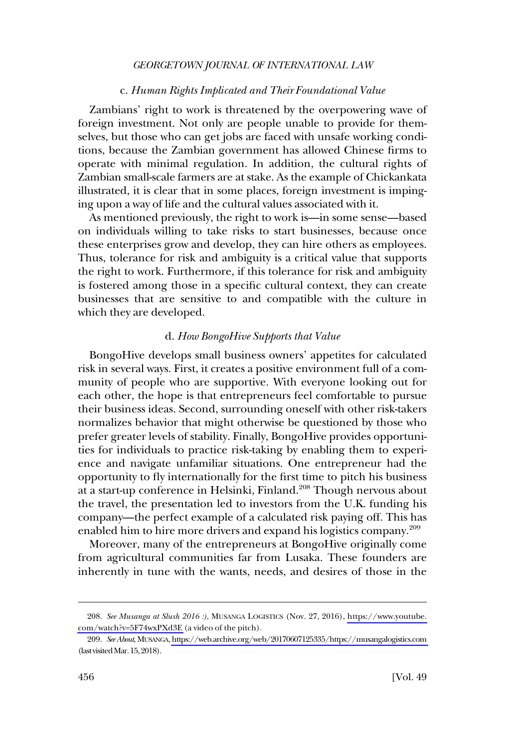#### c. *Human Rights Implicated and Their Foundational Value*

<span id="page-39-0"></span>Zambians' right to work is threatened by the overpowering wave of foreign investment. Not only are people unable to provide for themselves, but those who can get jobs are faced with unsafe working conditions, because the Zambian government has allowed Chinese firms to operate with minimal regulation. In addition, the cultural rights of Zambian small-scale farmers are at stake. As the example of Chickankata illustrated, it is clear that in some places, foreign investment is impinging upon a way of life and the cultural values associated with it.

As mentioned previously, the right to work is—in some sense—based on individuals willing to take risks to start businesses, because once these enterprises grow and develop, they can hire others as employees. Thus, tolerance for risk and ambiguity is a critical value that supports the right to work. Furthermore, if this tolerance for risk and ambiguity is fostered among those in a specific cultural context, they can create businesses that are sensitive to and compatible with the culture in which they are developed.

#### d. *How BongoHive Supports that Value*

BongoHive develops small business owners' appetites for calculated risk in several ways. First, it creates a positive environment full of a community of people who are supportive. With everyone looking out for each other, the hope is that entrepreneurs feel comfortable to pursue their business ideas. Second, surrounding oneself with other risk-takers normalizes behavior that might otherwise be questioned by those who prefer greater levels of stability. Finally, BongoHive provides opportunities for individuals to practice risk-taking by enabling them to experience and navigate unfamiliar situations. One entrepreneur had the opportunity to fly internationally for the first time to pitch his business at a start-up conference in Helsinki, Finland.<sup>208</sup> Though nervous about the travel, the presentation led to investors from the U.K. funding his company—the perfect example of a calculated risk paying off. This has enabled him to hire more drivers and expand his logistics company.<sup>209</sup>

Moreover, many of the entrepreneurs at BongoHive originally come from agricultural communities far from Lusaka. These founders are inherently in tune with the wants, needs, and desires of those in the

*See Musanga at Slush 2016 :)*, MUSANGA LOGISTICS (Nov. 27, 2016), [https://www.youtube.](https://www.youtube.com/watch?v=5F74wxPXd3E) 208. [com/watch?v=5F74wxPXd3E](https://www.youtube.com/watch?v=5F74wxPXd3E) (a video of the pitch).

*See About*, MUSANGA,<https://web.archive.org/web/20170607125335/https://musangalogistics.com> 209. (last visited Mar. 15, 2018).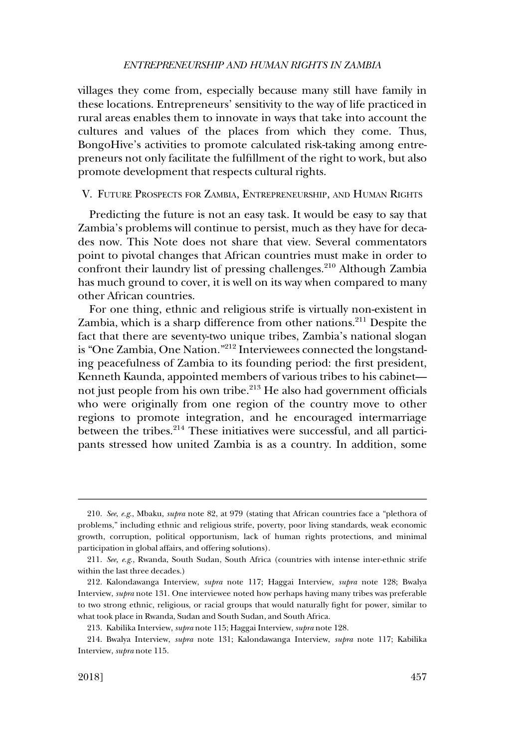#### *ENTREPRENEURSHIP AND HUMAN RIGHTS IN ZAMBIA*

<span id="page-40-0"></span>villages they come from, especially because many still have family in these locations. Entrepreneurs' sensitivity to the way of life practiced in rural areas enables them to innovate in ways that take into account the cultures and values of the places from which they come. Thus, BongoHive's activities to promote calculated risk-taking among entrepreneurs not only facilitate the fulfillment of the right to work, but also promote development that respects cultural rights.

V. FUTURE PROSPECTS FOR ZAMBIA, ENTREPRENEURSHIP, AND HUMAN RIGHTS

Predicting the future is not an easy task. It would be easy to say that Zambia's problems will continue to persist, much as they have for decades now. This Note does not share that view. Several commentators point to pivotal changes that African countries must make in order to confront their laundry list of pressing challenges.<sup>210</sup> Although Zambia has much ground to cover, it is well on its way when compared to many other African countries.

For one thing, ethnic and religious strife is virtually non-existent in Zambia, which is a sharp difference from other nations.<sup>211</sup> Despite the fact that there are seventy-two unique tribes, Zambia's national slogan is "One Zambia, One Nation."212 Interviewees connected the longstanding peacefulness of Zambia to its founding period: the first president, Kenneth Kaunda, appointed members of various tribes to his cabinet not just people from his own tribe.<sup>213</sup> He also had government officials who were originally from one region of the country move to other regions to promote integration, and he encouraged intermarriage between the tribes.<sup>214</sup> These initiatives were successful, and all participants stressed how united Zambia is as a country. In addition, some

<sup>210.</sup> *See*, *e.g*., Mbaku, *supra* note 82, at 979 (stating that African countries face a "plethora of problems," including ethnic and religious strife, poverty, poor living standards, weak economic growth, corruption, political opportunism, lack of human rights protections, and minimal participation in global affairs, and offering solutions).

<sup>211.</sup> *See, e.g*., Rwanda, South Sudan, South Africa (countries with intense inter-ethnic strife within the last three decades.)

<sup>212.</sup> Kalondawanga Interview, *supra* note 117; Haggai Interview, *supra* note 128; Bwalya Interview, *supra* note 131. One interviewee noted how perhaps having many tribes was preferable to two strong ethnic, religious, or racial groups that would naturally fight for power, similar to what took place in Rwanda, Sudan and South Sudan, and South Africa.

<sup>213.</sup> Kabilika Interview, *supra* note 115; Haggai Interview, *supra* note 128.

<sup>214.</sup> Bwalya Interview, *supra* note 131; Kalondawanga Interview, *supra* note 117; Kabilika Interview, *supra* note 115.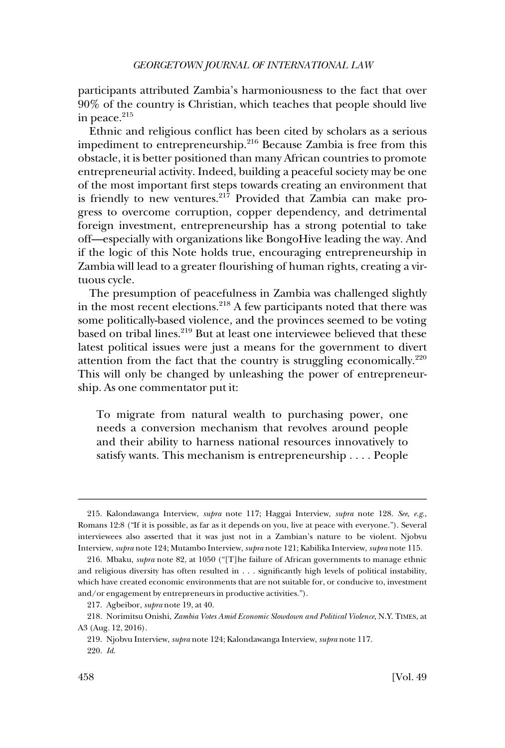participants attributed Zambia's harmoniousness to the fact that over 90% of the country is Christian, which teaches that people should live in peace.<sup>215</sup>

Ethnic and religious conflict has been cited by scholars as a serious impediment to entrepreneurship.216 Because Zambia is free from this obstacle, it is better positioned than many African countries to promote entrepreneurial activity. Indeed, building a peaceful society may be one of the most important first steps towards creating an environment that is friendly to new ventures.<sup>217</sup> Provided that Zambia can make progress to overcome corruption, copper dependency, and detrimental foreign investment, entrepreneurship has a strong potential to take off—especially with organizations like BongoHive leading the way. And if the logic of this Note holds true, encouraging entrepreneurship in Zambia will lead to a greater flourishing of human rights, creating a virtuous cycle.

The presumption of peacefulness in Zambia was challenged slightly in the most recent elections.218 A few participants noted that there was some politically-based violence, and the provinces seemed to be voting based on tribal lines.<sup>219</sup> But at least one interviewee believed that these latest political issues were just a means for the government to divert attention from the fact that the country is struggling economically. $220$ This will only be changed by unleashing the power of entrepreneurship. As one commentator put it:

To migrate from natural wealth to purchasing power, one needs a conversion mechanism that revolves around people and their ability to harness national resources innovatively to satisfy wants. This mechanism is entrepreneurship . . . . People

<sup>215.</sup> Kalondawanga Interview, *supra* note 117; Haggai Interview, *supra* note 128. *See*, *e.g*., Romans 12:8 ("If it is possible, as far as it depends on you, live at peace with everyone."). Several interviewees also asserted that it was just not in a Zambian's nature to be violent. Njobvu Interview, *supra* note 124; Mutambo Interview, *supra* note 121; Kabilika Interview, *supra* note 115.

<sup>216.</sup> Mbaku, *supra* note 82, at 1050 ("[T]he failure of African governments to manage ethnic and religious diversity has often resulted in . . . significantly high levels of political instability, which have created economic environments that are not suitable for, or conducive to, investment and/or engagement by entrepreneurs in productive activities.").

<sup>217.</sup> Agbeibor, *supra* note 19, at 40.

<sup>218.</sup> Norimitsu Onishi, *Zambia Votes Amid Economic Slowdown and Political Violence*, N.Y. TIMES , at A3 (Aug. 12, 2016).

<sup>219.</sup> Njobvu Interview, *supra* note 124; Kalondawanga Interview, *supra* note 117. 220. *Id*.